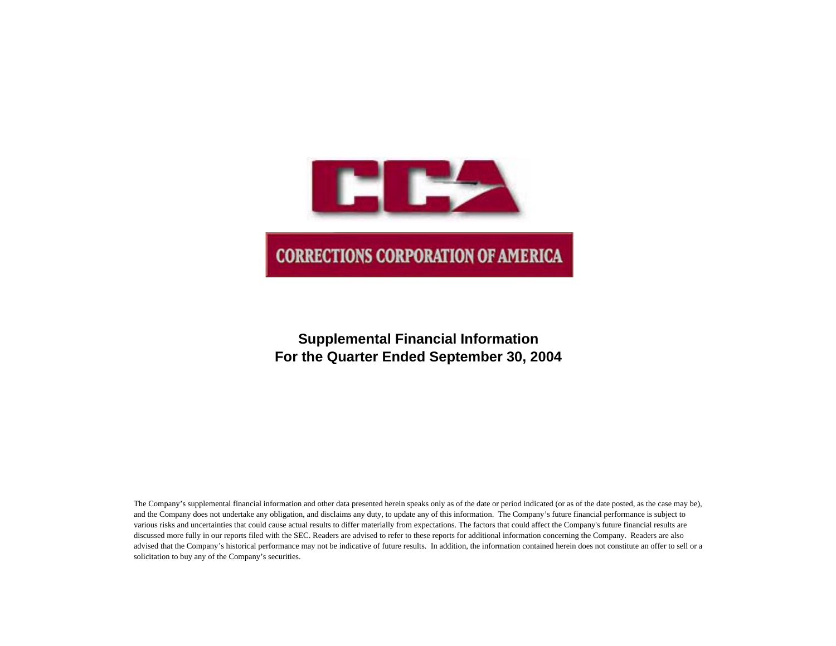

# **Supplemental Financial Information For the Quarter Ended September 30, 2004**

The Company's supplemental financial information and other data presented herein speaks only as of the date or period indicated (or as of the date posted, as the case may be), and the Company does not undertake any obligation, and disclaims any duty, to update any of this information. The Company's future financial performance is subject to various risks and uncertainties that could cause actual results to differ materially from expectations. The factors that could affect the Company's future financial results are discussed more fully in our reports filed with the SEC. Readers are advised to refer to these reports for additional information concerning the Company. Readers are also advised that the Company's historical performance may not be indicative of future results. In addition, the information contained herein does not constitute an offer to sell or a solicitation to buy any of the Company's securities.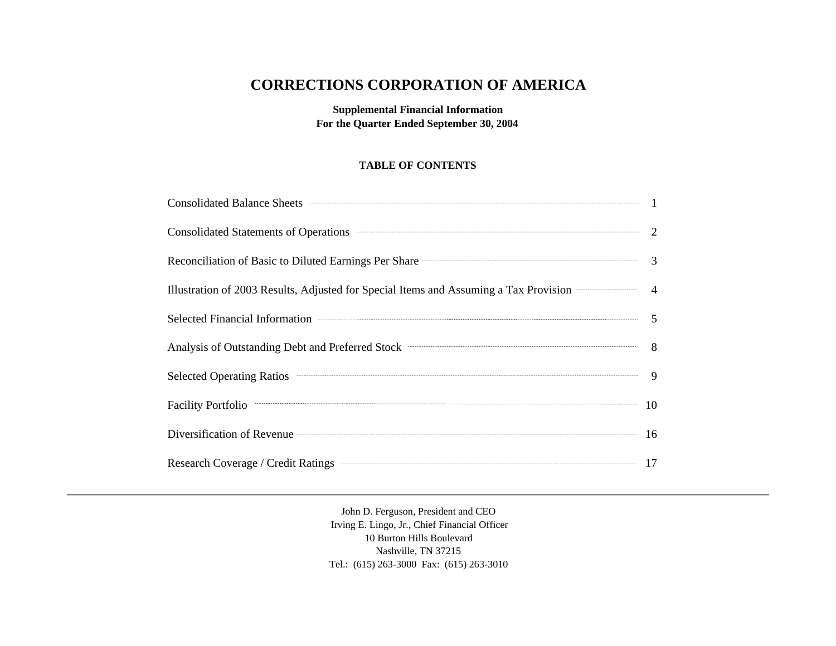# **CORRECTIONS CORPORATION OF AMERICA**

**Supplemental Financial Information For the Quarter Ended September 30, 2004**

# **TABLE OF CONTENTS**

| Consolidated Balance Sheets <b>Consolidated Balance Sheets</b> 1                                                                                                                                                                     |                |
|--------------------------------------------------------------------------------------------------------------------------------------------------------------------------------------------------------------------------------------|----------------|
| Consolidated Statements of Operations <b>Consolidated Statements</b> of Operations <b>Consolidated Statements</b> of Operations                                                                                                      | <sup>2</sup>   |
| Reconciliation of Basic to Diluted Earnings Per Share <b>Constanting Construction</b>                                                                                                                                                | $\overline{3}$ |
| Illustration of 2003 Results, Adjusted for Special Items and Assuming a Tax Provision                                                                                                                                                | $\overline{4}$ |
| Selected Financial Information <b>Construction Construction Construction Construction</b>                                                                                                                                            | $\overline{5}$ |
| Analysis of Outstanding Debt and Preferred Stock <b>Constanting Constanting</b>                                                                                                                                                      | 8 <sup>8</sup> |
| Selected Operating Ratios <b>Construction Construction</b> Construction Construction Construction Construction Construction Construction Construction Construction Construction Construction Construction Construction Construction  | -9             |
| <b>Facility Portfolio</b>                                                                                                                                                                                                            | 10             |
| Diversification of Revenue <b>Container and Security Container and Security Container and Security Container and Security Container and Security Container and Security Container and Security Container and Security Container </b> | 16             |
| Research Coverage / Credit Ratings <b>Constant Coverage / Credit Ratings</b>                                                                                                                                                         | 17             |

John D. Ferguson, President and CEO Irving E. Lingo, Jr., Chief Financial Officer 10 Burton Hills Boulevard Nashville, TN 37215 Tel.: (615) 263-3000 Fax: (615) 263-3010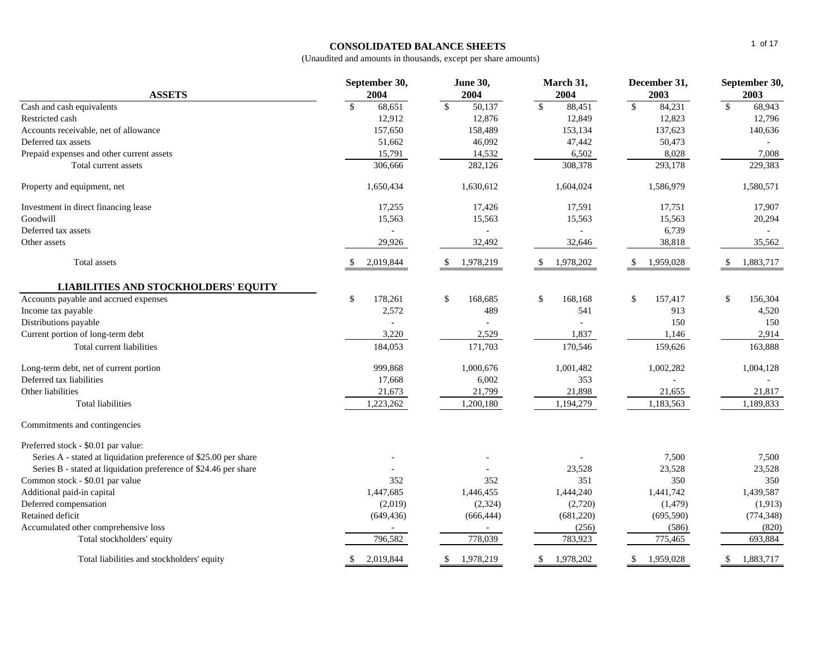#### **CONSOLIDATED BALANCE SHEETS**

| <b>ASSETS</b>                                                    | September 30,<br>2004   | <b>June 30,</b><br>2004 | March 31,<br>2004          | December 31,<br>2003   | September 30,<br>2003      |
|------------------------------------------------------------------|-------------------------|-------------------------|----------------------------|------------------------|----------------------------|
| Cash and cash equivalents                                        | 68,651<br>$\mathbf{\$}$ | $\mathbb{S}$<br>50,137  | $\mathbb{S}$<br>88,451     | 84,231<br>$\mathbb{S}$ | $\mathcal{S}$<br>68,943    |
| Restricted cash                                                  | 12,912                  | 12,876                  | 12,849                     | 12,823                 | 12,796                     |
| Accounts receivable, net of allowance                            | 157,650                 | 158,489                 | 153,134                    | 137,623                | 140,636                    |
| Deferred tax assets                                              | 51,662                  | 46,092                  | 47,442                     | 50,473                 |                            |
| Prepaid expenses and other current assets                        | 15,791                  | 14,532                  | 6,502                      | 8,028                  | 7,008                      |
| Total current assets                                             | 306,666                 | 282,126                 | 308,378                    | 293,178                | 229,383                    |
| Property and equipment, net                                      | 1,650,434               | 1,630,612               | 1,604,024                  | 1,586,979              | 1,580,571                  |
| Investment in direct financing lease                             | 17,255                  | 17,426                  | 17,591                     | 17,751                 | 17,907                     |
| Goodwill                                                         | 15,563                  | 15,563                  | 15,563                     | 15,563                 | 20,294                     |
| Deferred tax assets                                              |                         |                         |                            | 6,739                  |                            |
| Other assets                                                     | 29,926                  | 32,492                  | 32,646                     | 38,818                 | 35,562                     |
| Total assets                                                     | 2,019,844               | 1,978,219<br>-S         | 1,978,202<br><sup>\$</sup> | 1,959,028              | <sup>\$</sup><br>1,883,717 |
| <b>LIABILITIES AND STOCKHOLDERS' EQUITY</b>                      |                         |                         |                            |                        |                            |
| Accounts payable and accrued expenses                            | \$<br>178,261           | \$<br>168,685           | \$<br>168,168              | \$<br>157,417          | \$<br>156,304              |
| Income tax payable                                               | 2,572                   | 489                     | 541                        | 913                    | 4,520                      |
| Distributions payable                                            |                         |                         |                            | 150                    | 150                        |
| Current portion of long-term debt                                | 3,220                   | 2,529                   | 1,837                      | 1,146                  | 2,914                      |
| Total current liabilities                                        | 184,053                 | 171,703                 | 170,546                    | 159,626                | 163,888                    |
| Long-term debt, net of current portion                           | 999,868                 | 1,000,676               | 1,001,482                  | 1,002,282              | 1,004,128                  |
| Deferred tax liabilities                                         | 17,668                  | 6,002                   | 353                        |                        |                            |
| Other liabilities                                                | 21,673                  | 21,799                  | 21,898                     | 21,655                 | 21,817                     |
| <b>Total liabilities</b>                                         | 1,223,262               | 1,200,180               | 1,194,279                  | 1,183,563              | 1,189,833                  |
| Commitments and contingencies                                    |                         |                         |                            |                        |                            |
| Preferred stock - \$0.01 par value:                              |                         |                         |                            |                        |                            |
| Series A - stated at liquidation preference of \$25.00 per share |                         |                         |                            | 7,500                  | 7,500                      |
| Series B - stated at liquidation preference of \$24.46 per share |                         |                         | 23,528                     | 23,528                 | 23,528                     |
| Common stock - \$0.01 par value                                  | 352                     | 352                     | 351                        | 350                    | 350                        |
| Additional paid-in capital                                       | 1,447,685               | 1,446,455               | 1,444,240                  | 1,441,742              | 1,439,587                  |
| Deferred compensation                                            | (2,019)                 | (2, 324)                | (2,720)                    | (1, 479)               | (1, 913)                   |
| Retained deficit                                                 | (649, 436)              | (666, 444)              | (681, 220)                 | (695, 590)             | (774, 348)                 |
| Accumulated other comprehensive loss                             |                         |                         | (256)                      | (586)                  | (820)                      |
| Total stockholders' equity                                       | 796,582                 | 778,039                 | 783,923                    | 775,465                | 693,884                    |
| Total liabilities and stockholders' equity                       | 2,019,844               | 1,978,219               | 1,978,202<br><sup>S</sup>  | 1,959,028<br>\$.       | 1,883,717<br>\$            |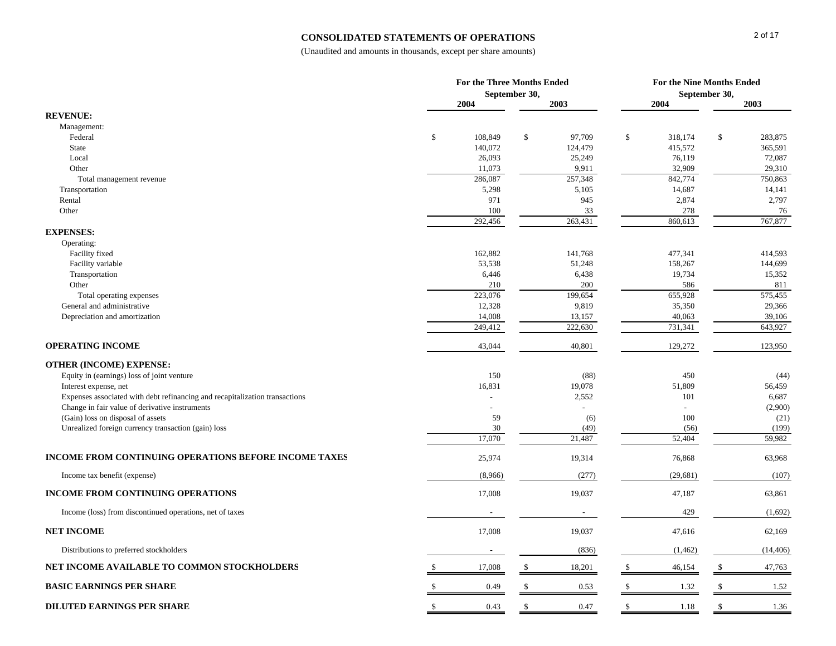### **CONSOLIDATED STATEMENTS OF OPERATIONS**

|                                                                                                                               |    | For the Three Months Ended | September 30, |                          | For the Nine Months Ended<br>September 30, |                                 |               |                    |
|-------------------------------------------------------------------------------------------------------------------------------|----|----------------------------|---------------|--------------------------|--------------------------------------------|---------------------------------|---------------|--------------------|
|                                                                                                                               |    | 2004                       |               | 2003                     |                                            | 2004                            |               | 2003               |
| <b>REVENUE:</b>                                                                                                               |    |                            |               |                          |                                            |                                 |               |                    |
| Management:                                                                                                                   |    |                            |               |                          |                                            |                                 |               |                    |
| Federal<br>State                                                                                                              | \$ | 108,849<br>140,072         | \$            | 97,709<br>124,479        | \$                                         | 318,174<br>415,572              | $\mathcal{S}$ | 283,875<br>365,591 |
| Local                                                                                                                         |    | 26,093                     |               | 25,249                   |                                            | 76,119                          |               | 72,087             |
| Other                                                                                                                         |    | 11,073                     |               | 9,911                    |                                            | 32,909                          |               | 29,310             |
| Total management revenue                                                                                                      |    | 286,087                    |               | 257,348                  |                                            | 842,774                         |               | 750,863            |
| Transportation                                                                                                                |    | 5,298                      |               | 5,105                    |                                            | 14,687                          |               | 14,141             |
| Rental                                                                                                                        |    | 971                        |               | 945                      |                                            | 2,874                           |               | 2,797              |
| Other                                                                                                                         |    | 100                        |               | 33                       |                                            | 278                             |               | 76                 |
|                                                                                                                               |    | 292,456                    |               | 263,431                  |                                            | 860,613                         |               | 767,877            |
| <b>EXPENSES:</b><br>Operating:                                                                                                |    |                            |               |                          |                                            |                                 |               |                    |
| Facility fixed                                                                                                                |    | 162,882                    |               | 141,768                  |                                            | 477,341                         |               | 414,593            |
| Facility variable                                                                                                             |    | 53,538                     |               | 51,248                   |                                            | 158,267                         |               | 144,699            |
| Transportation                                                                                                                |    | 6,446                      |               | 6,438                    |                                            | 19,734                          |               | 15,352             |
| Other                                                                                                                         |    | 210                        |               | $200\,$                  |                                            | 586                             |               | 811                |
| Total operating expenses                                                                                                      |    | 223,076                    |               | 199,654                  |                                            | 655,928                         |               | 575,455            |
| General and administrative                                                                                                    |    | 12,328                     |               | 9,819                    |                                            | 35,350                          |               | 29,366             |
| Depreciation and amortization                                                                                                 |    | 14,008<br>249,412          |               | 13,157<br>222,630        |                                            | 40,063<br>731,341               |               | 39,106<br>643,927  |
|                                                                                                                               |    |                            |               |                          |                                            |                                 |               |                    |
| <b>OPERATING INCOME</b>                                                                                                       |    | 43,044                     |               | 40,801                   |                                            | 129,272                         |               | 123,950            |
| <b>OTHER (INCOME) EXPENSE:</b>                                                                                                |    |                            |               |                          |                                            |                                 |               |                    |
| Equity in (earnings) loss of joint venture                                                                                    |    | 150                        |               | (88)                     |                                            | 450                             |               | (44)               |
| Interest expense, net                                                                                                         |    | 16,831                     |               | 19,078                   |                                            | 51,809                          |               | 56,459             |
| Expenses associated with debt refinancing and recapitalization transactions<br>Change in fair value of derivative instruments |    |                            |               | 2,552                    |                                            | 101<br>$\overline{\phantom{a}}$ |               | 6,687<br>(2,900)   |
| (Gain) loss on disposal of assets                                                                                             |    | 59                         |               | (6)                      |                                            | 100                             |               | (21)               |
| Unrealized foreign currency transaction (gain) loss                                                                           |    | 30                         |               | (49)                     |                                            | (56)                            |               | (199)              |
|                                                                                                                               |    | 17,070                     |               | 21,487                   |                                            | 52,404                          |               | 59,982             |
| <b>INCOME FROM CONTINUING OPERATIONS BEFORE INCOME TAXES</b>                                                                  |    | 25,974                     |               | 19,314                   |                                            | 76,868                          |               | 63,968             |
| Income tax benefit (expense)                                                                                                  |    | (8,966)                    |               | (277)                    |                                            | (29, 681)                       |               | (107)              |
| INCOME FROM CONTINUING OPERATIONS                                                                                             |    | 17,008                     |               | 19,037                   |                                            | 47,187                          |               | 63,861             |
| Income (loss) from discontinued operations, net of taxes                                                                      |    |                            |               | $\overline{\phantom{a}}$ |                                            | 429                             |               | (1,692)            |
| <b>NET INCOME</b>                                                                                                             |    | 17,008                     |               | 19,037                   |                                            | 47,616                          |               | 62,169             |
| Distributions to preferred stockholders                                                                                       |    |                            |               | (836)                    |                                            | (1, 462)                        |               | (14, 406)          |
| NET INCOME AVAILABLE TO COMMON STOCKHOLDERS                                                                                   |    | 17,008                     |               | 18,201                   |                                            | 46,154                          |               | 47,763             |
| <b>BASIC EARNINGS PER SHARE</b>                                                                                               |    | 0.49                       |               | 0.53                     |                                            | 1.32                            | $\mathcal{S}$ | 1.52               |
| <b>DILUTED EARNINGS PER SHARE</b>                                                                                             | -S | 0.43                       | -S            | 0.47                     | \$                                         | 1.18                            | \$            | 1.36               |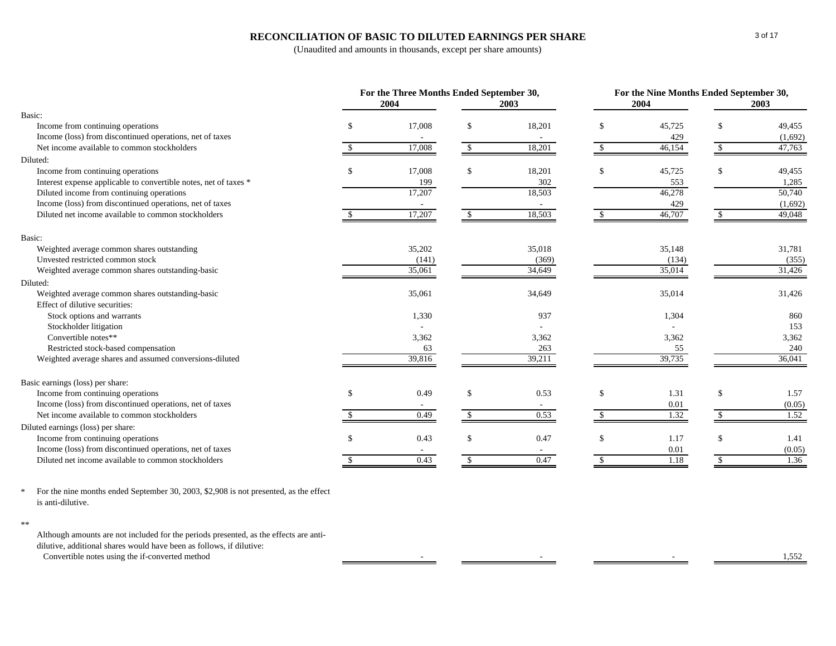### **RECONCILIATION OF BASIC TO DILUTED EARNINGS PER SHARE**

(Unaudited and amounts in thousands, except per share amounts)

|                                                                  |               | For the Three Months Ended September 30,<br>2004 | 2003          | For the Nine Months Ended September 30,<br>2004<br>2003 |    |        |               |         |
|------------------------------------------------------------------|---------------|--------------------------------------------------|---------------|---------------------------------------------------------|----|--------|---------------|---------|
| Basic:                                                           |               |                                                  |               |                                                         |    |        |               |         |
| Income from continuing operations                                | \$            | 17,008                                           | \$.           | 18,201                                                  | \$ | 45,725 | \$            | 49,455  |
| Income (loss) from discontinued operations, net of taxes         |               |                                                  |               |                                                         |    | 429    |               | (1,692) |
| Net income available to common stockholders                      |               | 17,008                                           | \$.           | 18,201                                                  |    | 46,154 | \$.           | 47,763  |
| Diluted:                                                         |               |                                                  |               |                                                         |    |        |               |         |
| Income from continuing operations                                | \$            | 17,008                                           | -S            | 18,201                                                  | \$ | 45,725 | \$            | 49,455  |
| Interest expense applicable to convertible notes, net of taxes * |               | 199                                              |               | 302                                                     |    | 553    |               | 1,285   |
| Diluted income from continuing operations                        |               | 17,207                                           |               | 18,503                                                  |    | 46,278 |               | 50,740  |
| Income (loss) from discontinued operations, net of taxes         |               |                                                  |               |                                                         |    | 429    |               | (1,692) |
| Diluted net income available to common stockholders              |               | 17,207                                           | $\mathcal{S}$ | 18,503                                                  |    | 46,707 | -S            | 49,048  |
| Basic:                                                           |               |                                                  |               |                                                         |    |        |               |         |
| Weighted average common shares outstanding                       |               | 35,202                                           |               | 35,018                                                  |    | 35,148 |               | 31,781  |
| Unvested restricted common stock                                 |               | (141)                                            |               | (369)                                                   |    | (134)  |               | (355)   |
| Weighted average common shares outstanding-basic                 |               | 35,061                                           |               | 34,649                                                  |    | 35,014 |               | 31,426  |
| Diluted:                                                         |               |                                                  |               |                                                         |    |        |               |         |
| Weighted average common shares outstanding-basic                 |               | 35,061                                           |               | 34,649                                                  |    | 35,014 |               | 31,426  |
| Effect of dilutive securities:                                   |               |                                                  |               |                                                         |    |        |               |         |
| Stock options and warrants                                       |               | 1,330                                            |               | 937                                                     |    | 1,304  |               | 860     |
| Stockholder litigation                                           |               |                                                  |               |                                                         |    |        |               | 153     |
| Convertible notes**                                              |               | 3,362                                            |               | 3,362                                                   |    | 3,362  |               | 3,362   |
| Restricted stock-based compensation                              |               | 63                                               |               | 263                                                     |    | 55     |               | 240     |
| Weighted average shares and assumed conversions-diluted          |               | 39,816                                           |               | 39,211                                                  |    | 39,735 |               | 36,041  |
| Basic earnings (loss) per share:                                 |               |                                                  |               |                                                         |    |        |               |         |
| Income from continuing operations                                | $\mathcal{S}$ | 0.49                                             | <sup>\$</sup> | 0.53                                                    | \$ | 1.31   | \$            | 1.57    |
| Income (loss) from discontinued operations, net of taxes         |               |                                                  |               |                                                         |    | 0.01   |               | (0.05)  |
| Net income available to common stockholders                      |               | 0.49                                             | $\mathcal{S}$ | 0.53                                                    |    | 1.32   | <sup>\$</sup> | 1.52    |
| Diluted earnings (loss) per share:                               |               |                                                  |               |                                                         |    |        |               |         |
| Income from continuing operations                                | \$            | 0.43                                             | $\mathcal{S}$ | 0.47                                                    | \$ | 1.17   | \$            | 1.41    |
| Income (loss) from discontinued operations, net of taxes         |               | $\sim$                                           |               | $\sim$                                                  |    | 0.01   |               | (0.05)  |
| Diluted net income available to common stockholders              |               | 0.43                                             | \$            | 0.47                                                    | \$ | 1.18   | $\mathbb{S}$  | 1.36    |

\* For the nine months ended September 30, 2003, \$2,908 is not presented, as the effect is anti-dilutive.

Although amounts are not included for the periods presented, as the effects are antidilutive, additional shares would have been as follows, if dilutive: Convertible notes using the if-converted method 1,552

<sup>\*\*</sup>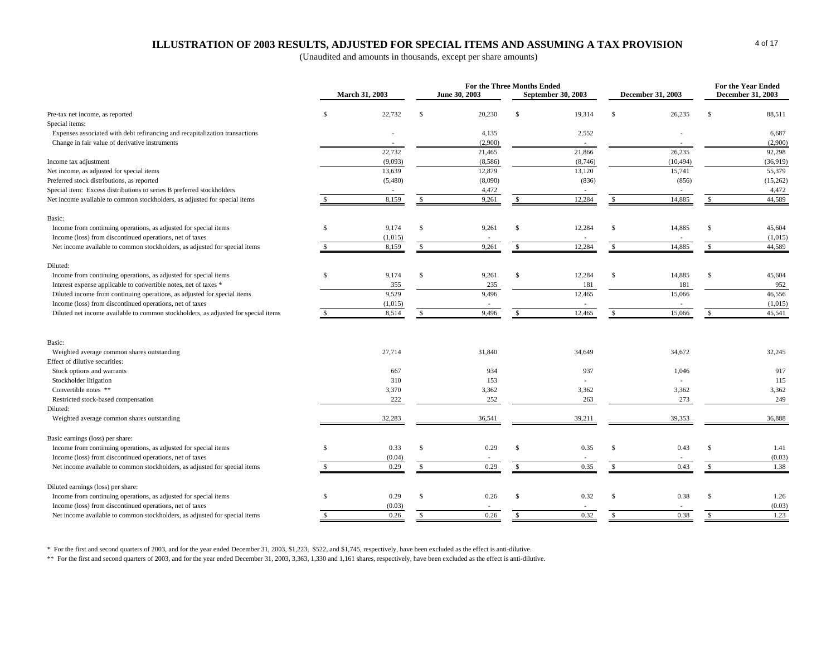# **ILLUSTRATION OF 2003 RESULTS, ADJUSTED FOR SPECIAL ITEMS AND ASSUMING A TAX PROVISION**

(Unaudited and amounts in thousands, except per share amounts)

|                                                                                    |               |                       |               | For the Three Months Ended |               |                           |               | For the Year Ended       |               |                          |
|------------------------------------------------------------------------------------|---------------|-----------------------|---------------|----------------------------|---------------|---------------------------|---------------|--------------------------|---------------|--------------------------|
|                                                                                    |               | <b>March 31, 2003</b> |               | June 30, 2003              |               | <b>September 30, 2003</b> |               | <b>December 31, 2003</b> |               | <b>December 31, 2003</b> |
| Pre-tax net income, as reported                                                    | \$            | 22,732                | $\mathcal{S}$ | 20,230                     | $\mathcal{S}$ | 19,314                    | £.            | 26,235                   | .S            | 88,511                   |
| Special items:                                                                     |               |                       |               |                            |               |                           |               |                          |               |                          |
| Expenses associated with debt refinancing and recapitalization transactions        |               |                       |               | 4,135                      |               | 2,552                     |               |                          |               | 6,687                    |
| Change in fair value of derivative instruments                                     |               |                       |               | (2,900)                    |               |                           |               |                          |               | (2,900)                  |
|                                                                                    |               | 22,732                |               | 21,465                     |               | 21,866                    |               | 26,235                   |               | 92,298                   |
| Income tax adjustment                                                              |               | (9,093)               |               | (8,586)                    |               | (8,746)                   |               | (10, 494)                |               | (36,919)                 |
| Net income, as adjusted for special items                                          |               | 13,639                |               | 12,879                     |               | 13,120                    |               | 15.741                   |               | 55,379                   |
| Preferred stock distributions, as reported                                         |               | (5,480)               |               | (8,090)                    |               | (836)                     |               | (856)                    |               | (15,262)                 |
| Special item: Excess distributions to series B preferred stockholders              |               |                       |               | 4,472                      |               |                           |               |                          |               | 4,472                    |
| Net income available to common stockholders, as adjusted for special items         |               | 8,159                 | $\mathcal{S}$ | 9,261                      | $\mathcal{S}$ | 12,284                    | £.            | 14,885                   | £.            | 44,589                   |
| Basic:                                                                             |               |                       |               |                            |               |                           |               |                          |               |                          |
| Income from continuing operations, as adjusted for special items                   | \$            | 9,174                 | \$            | 9,261                      | $\mathcal{S}$ | 12,284                    | S             | 14,885                   | Ŝ             | 45,604                   |
| Income (loss) from discontinued operations, net of taxes                           |               | (1,015)               |               |                            |               |                           |               |                          |               | (1,015)                  |
| Net income available to common stockholders, as adjusted for special items         | $\mathcal{S}$ | 8,159                 | $\mathcal{S}$ | 9,261                      | $\mathbb{S}$  | 12,284                    | \$.           | 14,885                   | \$.           | 44,589                   |
| Diluted:                                                                           |               |                       |               |                            |               |                           |               |                          |               |                          |
| Income from continuing operations, as adjusted for special items                   | S.            | 9,174                 | $\mathbb{S}$  | 9,261                      | \$            | 12,284                    | £.            | 14,885                   | <b>S</b>      | 45,604                   |
| Interest expense applicable to convertible notes, net of taxes *                   |               | 355                   |               | 235                        |               | 181                       |               | 181                      |               | 952                      |
| Diluted income from continuing operations, as adjusted for special items           |               | 9,529                 |               | 9,496                      |               | 12,465                    |               | 15,066                   |               | 46,556                   |
| Income (loss) from discontinued operations, net of taxes                           |               | (1,015)               |               |                            |               |                           |               |                          |               | (1,015)                  |
| Diluted net income available to common stockholders, as adjusted for special items | S.            | 8,514                 | \$            | 9,496                      | $\mathbb{S}$  | 12,465                    | <sup>\$</sup> | 15,066                   | £.            | 45,541                   |
|                                                                                    |               |                       |               |                            |               |                           |               |                          |               |                          |
| Basic:                                                                             |               |                       |               |                            |               |                           |               |                          |               |                          |
| Weighted average common shares outstanding                                         |               | 27,714                |               | 31,840                     |               | 34,649                    |               | 34,672                   |               | 32,245                   |
| Effect of dilutive securities:                                                     |               |                       |               |                            |               |                           |               |                          |               |                          |
| Stock options and warrants                                                         |               | 667                   |               | 934                        |               | 937                       |               | 1,046                    |               | 917                      |
| Stockholder litigation                                                             |               | 310                   |               | 153                        |               |                           |               |                          |               | 115                      |
| Convertible notes **                                                               |               | 3,370                 |               | 3,362                      |               | 3,362                     |               | 3,362                    |               | 3,362                    |
| Restricted stock-based compensation                                                |               | 222                   |               | 252                        |               | 263                       |               | 273                      |               | 249                      |
| Diluted:                                                                           |               |                       |               |                            |               |                           |               |                          |               |                          |
| Weighted average common shares outstanding                                         |               | 32,283                |               | 36,541                     |               | 39,211                    |               | 39.353                   |               | 36,888                   |
| Basic earnings (loss) per share:                                                   |               |                       |               |                            |               |                           |               |                          |               |                          |
| Income from continuing operations, as adjusted for special items                   | \$            | 0.33                  | \$            | 0.29                       | $\mathcal{S}$ | 0.35                      | \$            | 0.43                     | $\mathcal{S}$ | 1.41                     |
| Income (loss) from discontinued operations, net of taxes                           |               | (0.04)                |               |                            |               |                           |               |                          |               | (0.03)                   |
| Net income available to common stockholders, as adjusted for special items         | ÷.            | 0.29                  | S.            | 0.29                       | -S            | 0.35                      | £.            | 0.43                     | £.            | 1.38                     |
| Diluted earnings (loss) per share:                                                 |               |                       |               |                            |               |                           |               |                          |               |                          |
| Income from continuing operations, as adjusted for special items                   | $\mathcal{S}$ | 0.29                  | $\mathbb{S}$  | 0.26                       | <sup>\$</sup> | 0.32                      | £.            | 0.38                     | <b>S</b>      | 1.26                     |
| Income (loss) from discontinued operations, net of taxes                           |               | (0.03)                |               |                            |               |                           |               |                          |               | (0.03)                   |
| Net income available to common stockholders, as adjusted for special items         | -S            | 0.26                  | <sup>\$</sup> | 0.26                       | -S            | 0.32                      | \$            | 0.38                     | \$            | 1.23                     |
|                                                                                    |               |                       |               |                            |               |                           |               |                          |               |                          |

\* For the first and second quarters of 2003, and for the year ended December 31, 2003, \$1,223, \$522, and \$1,745, respectively, have been excluded as the effect is anti-dilutive.

\*\* For the first and second quarters of 2003, and for the year ended December 31, 2003, 3,363, 1,330 and 1,161 shares, respectively, have been excluded as the effect is anti-dilutive.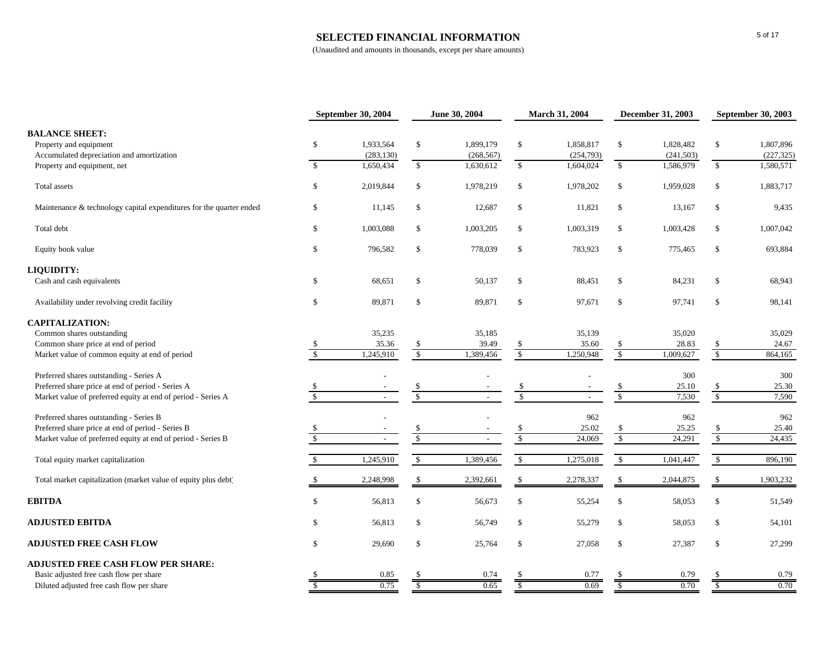#### **SELECTED FINANCIAL INFORMATION**

|                                                                     |                           | September 30, 2004 | June 30, 2004 |            | March 31, 2004           |            | <b>December 31, 2003</b> |            | September 30, 2003       |            |
|---------------------------------------------------------------------|---------------------------|--------------------|---------------|------------|--------------------------|------------|--------------------------|------------|--------------------------|------------|
| <b>BALANCE SHEET:</b>                                               |                           |                    |               |            |                          |            |                          |            |                          |            |
| Property and equipment                                              | \$                        | 1,933,564          | \$            | 1,899,179  | \$                       | 1,858,817  | $\mathbb{S}$             | 1,828,482  | \$                       | 1,807,896  |
| Accumulated depreciation and amortization                           |                           | (283, 130)         |               | (268, 567) |                          | (254, 793) |                          | (241, 503) |                          | (227, 325) |
| Property and equipment, net                                         | $\mathcal{S}$             | 1,650,434          | $\mathbb{S}$  | 1,630,612  | $\mathbb{S}$             | 1,604,024  | $\mathbb{S}$             | 1.586.979  | $\mathbb{S}$             | 1,580,571  |
| Total assets                                                        | $\$$                      | 2,019,844          | \$            | 1,978,219  | \$                       | 1,978,202  | $\mathbb{S}$             | 1,959,028  | \$                       | 1,883,717  |
| Maintenance & technology capital expenditures for the quarter ended | \$                        | 11,145             | \$            | 12,687     | \$                       | 11,821     | $\mathbb{S}$             | 13,167     | \$                       | 9,435      |
| Total debt                                                          | \$                        | 1,003,088          | \$            | 1,003,205  | \$                       | 1,003,319  | \$                       | 1,003,428  | \$                       | 1,007,042  |
| Equity book value                                                   | $\mathbb{S}$              | 796,582            | $\mathbb{S}$  | 778,039    | $\mathbb{S}$             | 783,923    | $\mathcal{S}$            | 775,465    | \$                       | 693,884    |
| LIQUIDITY:                                                          |                           |                    |               |            |                          |            |                          |            |                          |            |
| Cash and cash equivalents                                           | \$                        | 68,651             | \$            | 50,137     | \$                       | 88,451     | $\mathcal{S}$            | 84,231     | \$                       | 68,943     |
| Availability under revolving credit facility                        | $\$$                      | 89,871             | \$            | 89,871     | \$                       | 97,671     | $\mathbb{S}$             | 97,741     | $\mathbb{S}$             | 98,141     |
| <b>CAPITALIZATION:</b>                                              |                           |                    |               |            |                          |            |                          |            |                          |            |
| Common shares outstanding                                           |                           | 35,235             |               | 35,185     |                          | 35,139     |                          | 35,020     |                          | 35,029     |
| Common share price at end of period                                 | S,                        | 35.36              | \$            | 39.49      | \$                       | 35.60      | -\$                      | 28.83      | $\frac{1}{2}$            | 24.67      |
| Market value of common equity at end of period                      | $\sqrt{3}$                | 1,245,910          | $\sqrt{\ }$   | 1,389,456  | $\sqrt$                  | 1,250,948  | $\sqrt{\frac{2}{5}}$     | 1,009,627  | $\mathbb S$              | 864,165    |
| Preferred shares outstanding - Series A                             |                           |                    |               |            |                          |            |                          | 300        |                          | 300        |
| Preferred share price at end of period - Series A                   |                           |                    |               |            | $\frac{\$}{\$}$          |            | $\frac{\$}{\$}$          | 25.10      | $\frac{\$}{\$}$          | 25.30      |
| Market value of preferred equity at end of period - Series A        | $\overline{\mathcal{S}}$  | $\sim$             | $\sqrt{3}$    |            |                          | $\sim$     |                          | 7,530      |                          | 7,590      |
| Preferred shares outstanding - Series B                             |                           |                    |               |            |                          | 962        |                          | 962        |                          | 962        |
| Preferred share price at end of period - Series B                   | \$                        |                    | $rac{1}{3}$   |            | $\frac{\$}{\$}$          | 25.02      | $\frac{\$}{\$}$          | 25.25      | $\frac{\$}{\$}$          | 25.40      |
| Market value of preferred equity at end of period - Series B        | $\sqrt{\frac{2}{3}}$      | $\overline{a}$     |               |            |                          | 24,069     |                          | 24,291     |                          | 24,435     |
| Total equity market capitalization                                  | $\mathbb{S}$              | 1,245,910          | $\mathbb{S}$  | 1,389,456  | $\mathbb{S}$             | 1,275,018  | $\mathcal{S}$            | 1,041,447  | $\sqrt{\frac{2}{2}}$     | 896,190    |
| Total market capitalization (market value of equity plus debt)      |                           | 2,248,998          | \$            | 2,392,661  | $\mathbb{S}$             | 2,278,337  | \$                       | 2,044,875  | \$                       | 1,903,232  |
| <b>EBITDA</b>                                                       | $\mathbb{S}$              | 56,813             | \$            | 56,673     | \$                       | 55,254     | $\mathbb{S}$             | 58,053     | \$                       | 51,549     |
| <b>ADJUSTED EBITDA</b>                                              | $\mathbb{S}$              | 56,813             | \$            | 56,749     | \$                       | 55,279     | $\mathbb{S}$             | 58,053     | \$                       | 54,101     |
| <b>ADJUSTED FREE CASH FLOW</b>                                      | \$                        | 29,690             | \$            | 25,764     | \$                       | 27,058     | $\mathbb{S}$             | 27,387     | \$                       | 27,299     |
| <b>ADJUSTED FREE CASH FLOW PER SHARE:</b>                           |                           |                    |               |            |                          |            |                          |            |                          |            |
| Basic adjusted free cash flow per share                             |                           | 0.85               |               | 0.74       |                          | 0.77       |                          | 0.79       |                          | 0.79       |
| Diluted adjusted free cash flow per share                           | $\overline{\overline{s}}$ | 0.75               |               | 0.65       | $\overline{\mathcal{S}}$ | 0.69       | S                        | 0.70       | $\overline{\mathcal{S}}$ | 0.70       |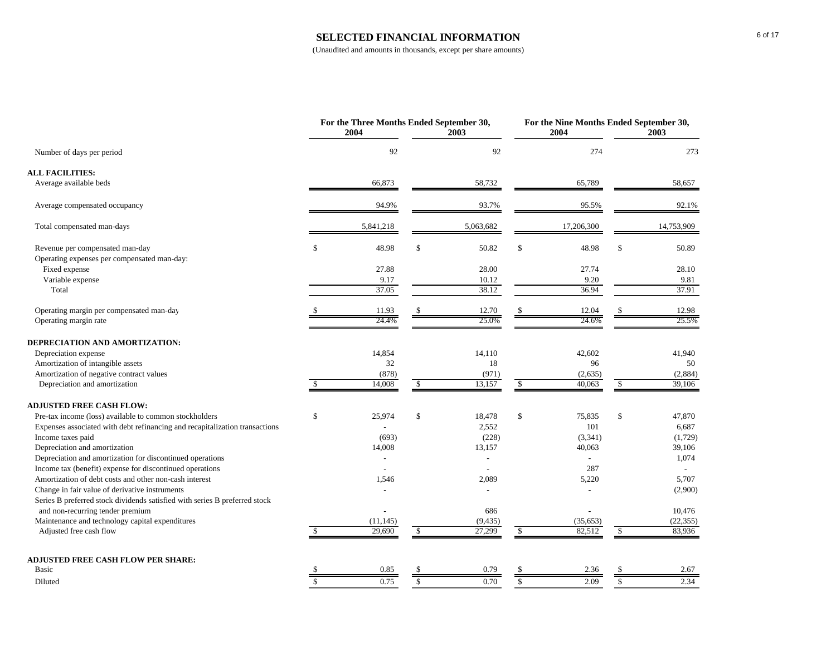#### **SELECTED FINANCIAL INFORMATION**

|                                                                                                                |                                      | For the Three Months Ended September 30,<br>2004 |               | 2003           |                         | For the Nine Months Ended September 30,<br>2004 |                         | 2003       |
|----------------------------------------------------------------------------------------------------------------|--------------------------------------|--------------------------------------------------|---------------|----------------|-------------------------|-------------------------------------------------|-------------------------|------------|
| Number of days per period                                                                                      |                                      | 92                                               |               | 92             |                         | 274                                             |                         | 273        |
| <b>ALL FACILITIES:</b>                                                                                         |                                      |                                                  |               |                |                         |                                                 |                         |            |
| Average available beds                                                                                         |                                      | 66,873                                           |               | 58,732         |                         | 65,789                                          |                         | 58,657     |
| Average compensated occupancy                                                                                  |                                      | 94.9%                                            |               | 93.7%          |                         | 95.5%                                           |                         | 92.1%      |
| Total compensated man-days                                                                                     |                                      | 5,841,218                                        |               | 5,063,682      |                         | 17,206,300                                      |                         | 14,753,909 |
| Revenue per compensated man-day<br>Operating expenses per compensated man-day:                                 | \$                                   | 48.98                                            | $\mathbb{S}$  | 50.82          | $\mathbb{S}$            | 48.98                                           | \$                      | 50.89      |
| Fixed expense                                                                                                  |                                      | 27.88                                            |               | 28.00          |                         | 27.74                                           |                         | 28.10      |
| Variable expense                                                                                               |                                      | 9.17                                             |               | 10.12          |                         | 9.20                                            |                         | 9.81       |
| Total                                                                                                          |                                      | 37.05                                            |               | 38.12          |                         | 36.94                                           |                         | 37.91      |
| Operating margin per compensated man-day                                                                       |                                      | 11.93                                            |               | 12.70          |                         | 12.04                                           |                         | 12.98      |
| Operating margin rate                                                                                          |                                      | 24.4%                                            |               | 25.0%          |                         | 24.6%                                           |                         | 25.5%      |
| DEPRECIATION AND AMORTIZATION:                                                                                 |                                      |                                                  |               |                |                         |                                                 |                         |            |
| Depreciation expense                                                                                           |                                      | 14,854                                           |               | 14,110         |                         | 42,602                                          |                         | 41,940     |
| Amortization of intangible assets                                                                              |                                      | 32                                               |               | 18             |                         | 96                                              |                         | 50         |
| Amortization of negative contract values                                                                       |                                      | (878)                                            |               | (971)          |                         | (2,635)                                         |                         | (2,884)    |
| Depreciation and amortization                                                                                  |                                      | 14,008                                           | $\mathcal{S}$ | 13,157         | <sup>\$</sup>           | 40,063                                          | -\$                     | 39,106     |
| <b>ADJUSTED FREE CASH FLOW:</b>                                                                                |                                      |                                                  |               |                |                         |                                                 |                         |            |
| Pre-tax income (loss) available to common stockholders                                                         | \$                                   | 25,974                                           | \$            | 18,478         | $\mathcal{S}$           | 75,835                                          | \$                      | 47,870     |
| Expenses associated with debt refinancing and recapitalization transactions                                    |                                      |                                                  |               | 2,552          |                         | 101                                             |                         | 6,687      |
| Income taxes paid                                                                                              |                                      | (693)                                            |               | (228)          |                         | (3,341)                                         |                         | (1,729)    |
| Depreciation and amortization                                                                                  |                                      | 14,008                                           |               | 13,157         |                         | 40,063                                          |                         | 39,106     |
| Depreciation and amortization for discontinued operations                                                      |                                      |                                                  |               |                |                         |                                                 |                         | 1,074      |
| Income tax (benefit) expense for discontinued operations                                                       |                                      |                                                  |               | $\overline{a}$ |                         | 287                                             |                         |            |
| Amortization of debt costs and other non-cash interest                                                         |                                      | 1,546                                            |               | 2,089          |                         | 5,220                                           |                         | 5,707      |
| Change in fair value of derivative instruments                                                                 |                                      |                                                  |               |                |                         |                                                 |                         | (2,900)    |
| Series B preferred stock dividends satisfied with series B preferred stock<br>and non-recurring tender premium |                                      |                                                  |               | 686            |                         |                                                 |                         | 10,476     |
| Maintenance and technology capital expenditures                                                                |                                      | (11, 145)                                        |               | (9, 435)       |                         | (35, 653)                                       |                         | (22, 355)  |
| Adjusted free cash flow                                                                                        |                                      | 29,690                                           | <sup>\$</sup> | 27,299         | -S                      | 82,512                                          | <sup>\$</sup>           | 83,936     |
|                                                                                                                |                                      |                                                  |               |                |                         |                                                 |                         |            |
| <b>ADJUSTED FREE CASH FLOW PER SHARE:</b>                                                                      |                                      |                                                  |               |                |                         |                                                 |                         |            |
| Basic                                                                                                          | $\overline{\overline{\overline{s}}}$ | 0.85                                             |               | 0.79           |                         | 2.36                                            |                         | 2.67       |
| Diluted                                                                                                        |                                      | 0.75                                             | $\mathcal{S}$ | 0.70           | $\overline{\mathbf{s}}$ | 2.09                                            | $\overline{\mathbb{S}}$ | 2.34       |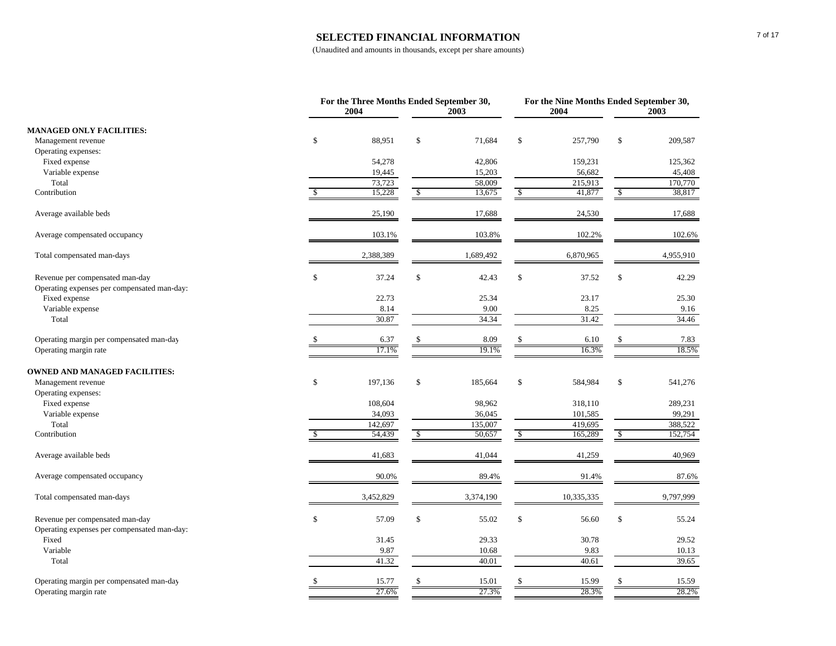#### **SELECTED FINANCIAL INFORMATION**

|                                                                                |               | For the Three Months Ended September 30,<br>2004 |               | 2003      |               | 2004       | For the Nine Months Ended September 30,<br>2003 |           |
|--------------------------------------------------------------------------------|---------------|--------------------------------------------------|---------------|-----------|---------------|------------|-------------------------------------------------|-----------|
| <b>MANAGED ONLY FACILITIES:</b>                                                |               |                                                  |               |           |               |            |                                                 |           |
| Management revenue                                                             | $\mathcal{S}$ | 88,951                                           | \$            | 71,684    | \$            | 257,790    | \$                                              | 209,587   |
| Operating expenses:                                                            |               |                                                  |               |           |               |            |                                                 |           |
| Fixed expense                                                                  |               | 54,278                                           |               | 42,806    |               | 159,231    |                                                 | 125,362   |
| Variable expense                                                               |               | 19,445                                           |               | 15,203    |               | 56,682     |                                                 | 45,408    |
| Total                                                                          |               | 73,723                                           |               | 58,009    |               | 215,913    |                                                 | 170,770   |
| Contribution                                                                   |               | 15,228                                           | $\sqrt{3}$    | 13,675    | $\mathcal{S}$ | 41,877     | $\sqrt{\frac{2}{5}}$                            | 38,817    |
| Average available beds                                                         |               | 25,190                                           |               | 17,688    |               | 24,530     |                                                 | 17,688    |
| Average compensated occupancy                                                  |               | 103.1%                                           |               | 103.8%    |               | 102.2%     |                                                 | 102.6%    |
| Total compensated man-days                                                     |               | 2,388,389                                        |               | 1,689,492 |               | 6,870,965  |                                                 | 4,955,910 |
| Revenue per compensated man-day<br>Operating expenses per compensated man-day: | $\,$          | 37.24                                            | \$            | 42.43     | \$            | 37.52      | $\$$                                            | 42.29     |
| Fixed expense                                                                  |               | 22.73                                            |               | 25.34     |               | 23.17      |                                                 | 25.30     |
| Variable expense                                                               |               | 8.14                                             |               | 9.00      |               | 8.25       |                                                 | 9.16      |
| Total                                                                          |               | 30.87                                            |               | 34.34     |               | 31.42      |                                                 | 34.46     |
| Operating margin per compensated man-day                                       |               | 6.37                                             | \$            | 8.09      |               | 6.10       |                                                 | 7.83      |
| Operating margin rate                                                          |               | 17.1%                                            |               | 19.1%     |               | 16.3%      |                                                 | 18.5%     |
| <b>OWNED AND MANAGED FACILITIES:</b>                                           |               |                                                  |               |           |               |            |                                                 |           |
| Management revenue                                                             | \$            | 197,136                                          | \$            | 185,664   | \$            | 584,984    | \$                                              | 541,276   |
| Operating expenses:                                                            |               |                                                  |               |           |               |            |                                                 |           |
| Fixed expense                                                                  |               | 108,604                                          |               | 98,962    |               | 318,110    |                                                 | 289,231   |
| Variable expense                                                               |               | 34,093                                           |               | 36,045    |               | 101,585    |                                                 | 99,291    |
| Total                                                                          |               | 142,697                                          |               | 135,007   |               | 419,695    |                                                 | 388,522   |
| Contribution                                                                   | \$.           | 54,439                                           | $\mathcal{S}$ | 50,657    | $\mathcal{S}$ | 165,289    | $\mathbf S$                                     | 152,754   |
| Average available beds                                                         |               | 41,683                                           |               | 41,044    |               | 41,259     |                                                 | 40,969    |
| Average compensated occupancy                                                  |               | 90.0%                                            |               | 89.4%     |               | 91.4%      |                                                 | 87.6%     |
| Total compensated man-days                                                     |               | 3,452,829                                        |               | 3,374,190 |               | 10,335,335 |                                                 | 9,797,999 |
| Revenue per compensated man-day                                                | $\,$          | 57.09                                            | \$            | 55.02     | \$            | 56.60      | \$                                              | 55.24     |
| Operating expenses per compensated man-day:                                    |               |                                                  |               |           |               |            |                                                 |           |
| Fixed                                                                          |               | 31.45                                            |               | 29.33     |               | 30.78      |                                                 | 29.52     |
| Variable                                                                       |               | 9.87                                             |               | 10.68     |               | 9.83       |                                                 | 10.13     |
| Total                                                                          |               | 41.32                                            |               | 40.01     |               | 40.61      |                                                 | 39.65     |
| Operating margin per compensated man-day                                       | <sup>\$</sup> | 15.77                                            | \$            | 15.01     |               | 15.99      |                                                 | 15.59     |
| Operating margin rate                                                          |               | 27.6%                                            |               | 27.3%     |               | 28.3%      |                                                 | 28.2%     |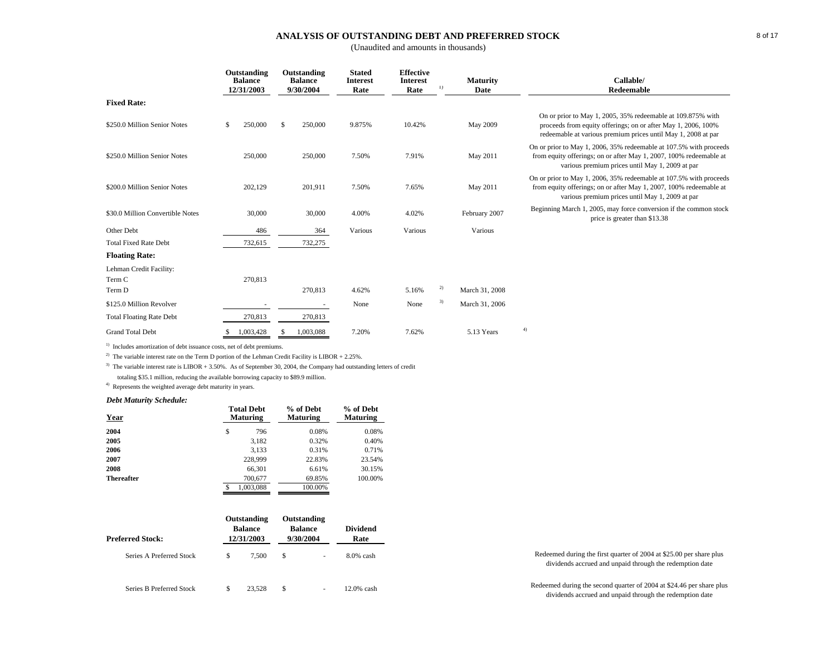### **ANALYSIS OF OUTSTANDING DEBT AND PREFERRED STOCK**

(Unaudited and amounts in thousands)

|                                   | Outstanding<br><b>Balance</b><br>12/31/2003 |              | Outstanding<br><b>Balance</b><br>9/30/2004 | <b>Stated</b><br><b>Interest</b><br>Rate | <b>Effective</b><br><b>Interest</b><br>Rate | 1) | <b>Maturity</b><br>Date | Callable/<br>Redeemable                                                                                                                                                                       |
|-----------------------------------|---------------------------------------------|--------------|--------------------------------------------|------------------------------------------|---------------------------------------------|----|-------------------------|-----------------------------------------------------------------------------------------------------------------------------------------------------------------------------------------------|
| <b>Fixed Rate:</b>                |                                             |              |                                            |                                          |                                             |    |                         |                                                                                                                                                                                               |
| \$250.0 Million Senior Notes      | \$<br>250,000                               | $\mathbb{S}$ | 250,000                                    | 9.875%                                   | 10.42%                                      |    | May 2009                | On or prior to May 1, 2005, 35% redeemable at 109.875% with<br>proceeds from equity offerings; on or after May 1, 2006, 100%<br>redeemable at various premium prices until May 1, 2008 at par |
| \$250.0 Million Senior Notes      | 250,000                                     |              | 250,000                                    | 7.50%                                    | 7.91%                                       |    | May 2011                | On or prior to May 1, 2006, 35% redeemable at 107.5% with proceeds<br>from equity offerings; on or after May 1, 2007, 100% redeemable at<br>various premium prices until May 1, 2009 at par   |
| \$200.0 Million Senior Notes      | 202,129                                     |              | 201,911                                    | 7.50%                                    | 7.65%                                       |    | May 2011                | On or prior to May 1, 2006, 35% redeemable at 107.5% with proceeds<br>from equity offerings; on or after May 1, 2007, 100% redeemable at<br>various premium prices until May 1, 2009 at par   |
| \$30.0 Million Convertible Notes  | 30,000                                      |              | 30,000                                     | 4.00%                                    | 4.02%                                       |    | February 2007           | Beginning March 1, 2005, may force conversion if the common stock<br>price is greater than \$13.38                                                                                            |
| Other Debt                        | 486                                         |              | 364                                        | Various                                  | Various                                     |    | Various                 |                                                                                                                                                                                               |
| <b>Total Fixed Rate Debt</b>      | 732,615                                     |              | 732,275                                    |                                          |                                             |    |                         |                                                                                                                                                                                               |
| <b>Floating Rate:</b>             |                                             |              |                                            |                                          |                                             |    |                         |                                                                                                                                                                                               |
| Lehman Credit Facility:<br>Term C | 270,813                                     |              |                                            |                                          |                                             |    |                         |                                                                                                                                                                                               |
| Term D                            |                                             |              | 270,813                                    | 4.62%                                    | 5.16%                                       | 2) | March 31, 2008          |                                                                                                                                                                                               |
| \$125.0 Million Revolver          |                                             |              |                                            | None                                     | None                                        | 3) | March 31, 2006          |                                                                                                                                                                                               |
| <b>Total Floating Rate Debt</b>   | 270,813                                     |              | 270,813                                    |                                          |                                             |    |                         |                                                                                                                                                                                               |
| <b>Grand Total Debt</b>           | 1,003,428                                   |              | 1,003,088                                  | 7.20%                                    | 7.62%                                       |    | 5.13 Years              | 4)                                                                                                                                                                                            |

<sup>1)</sup> Includes amortization of debt issuance costs, net of debt premiums.

<sup>2)</sup> The variable interest rate on the Term D portion of the Lehman Credit Facility is LIBOR + 2.25%.

<sup>3)</sup> The variable interest rate is LIBOR + 3.50%. As of September 30, 2004, the Company had outstanding letters of credit

totaling \$35.1 million, reducing the available borrowing capacity to \$89.9 million.

4) Represents the weighted average debt maturity in years.

#### *Debt Maturity Schedule:*

|           | % of Debt<br><b>Maturing</b>         | % of Debt<br><b>Maturing</b> |
|-----------|--------------------------------------|------------------------------|
| \$<br>796 | 0.08%                                | 0.08%                        |
| 3,182     | 0.32%                                | 0.40%                        |
| 3,133     | 0.31%                                | 0.71%                        |
| 228,999   | 22.83%                               | 23.54%                       |
| 66,301    | 6.61%                                | 30.15%                       |
| 700,677   | 69.85%                               | 100.00%                      |
| 1.003.088 | 100.00%                              |                              |
|           | <b>Total Debt</b><br><b>Maturing</b> |                              |

| <b>Preferred Stock:</b>  | Outstanding<br><b>Balance</b><br>12/31/2003 | Outstanding<br><b>Balance</b><br>9/30/2004 | <b>Dividend</b><br>Rate |                                                                                                                                  |
|--------------------------|---------------------------------------------|--------------------------------------------|-------------------------|----------------------------------------------------------------------------------------------------------------------------------|
| Series A Preferred Stock | 7.500                                       |                                            | $8.0\%$ cash            | Redeemed during the first quarter of 2004 at \$25.00 per share plus<br>dividends accrued and unpaid through the redemption date  |
| Series B Preferred Stock | 23.528                                      |                                            | 12.0% cash              | Redeemed during the second quarter of 2004 at \$24.46 per share plus<br>dividends accrued and unpaid through the redemption date |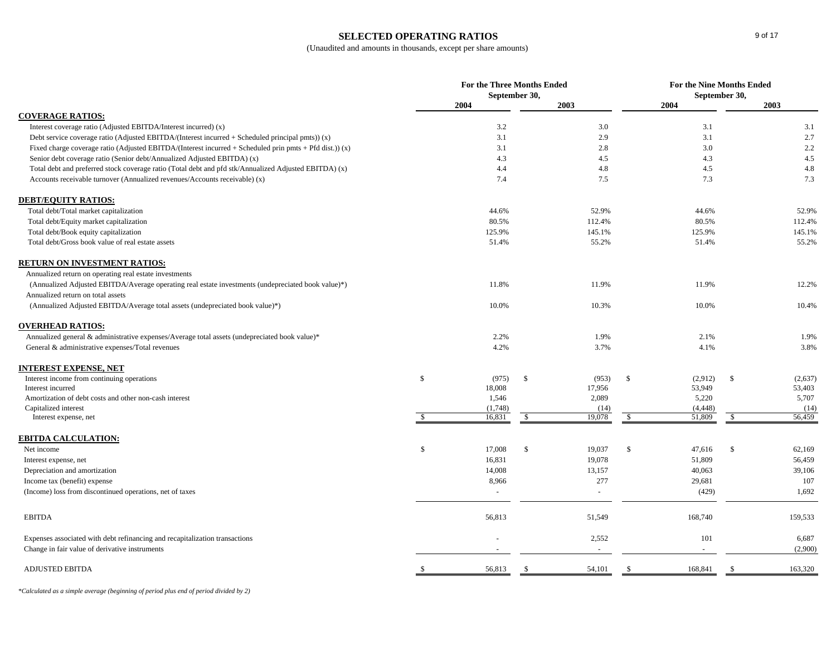### **SELECTED OPERATING RATIOS**

## (Unaudited and amounts in thousands, except per share amounts)

| 2003<br>2004<br>2003<br>2004<br><b>COVERAGE RATIOS:</b><br>Interest coverage ratio (Adjusted EBITDA/Interest incurred) (x)<br>3.2<br>3.0<br>3.1<br>3.1<br>3.1<br>2.9<br>3.1<br>2.7<br>Debt service coverage ratio (Adjusted EBITDA/(Interest incurred $+$ Scheduled principal pmts)) $(x)$<br>2.2<br>Fixed charge coverage ratio (Adjusted EBITDA/(Interest incurred + Scheduled prin pmts + Pfd dist.)) (x)<br>3.1<br>2.8<br>3.0<br>4.5<br>Senior debt coverage ratio (Senior debt/Annualized Adjusted EBITDA) (x)<br>4.3<br>4.5<br>4.3<br>$4.8\,$<br>Total debt and preferred stock coverage ratio (Total debt and pfd stk/Annualized Adjusted EBITDA) (x)<br>4.4<br>4.8<br>4.5<br>7.3<br>7.3<br>Accounts receivable turnover (Annualized revenues/Accounts receivable) (x)<br>7.4<br>7.5<br><b>DEBT/EQUITY RATIOS:</b><br>52.9%<br>Total debt/Total market capitalization<br>44.6%<br>52.9%<br>44.6%<br>Total debt/Equity market capitalization<br>80.5%<br>80.5%<br>112.4%<br>112.4%<br>Total debt/Book equity capitalization<br>125.9%<br>145.1%<br>125.9%<br>145.1%<br>55.2%<br>Total debt/Gross book value of real estate assets<br>51.4%<br>55.2%<br>51.4%<br><b>RETURN ON INVESTMENT RATIOS:</b><br>Annualized return on operating real estate investments<br>11.9%<br>11.9%<br>12.2%<br>(Annualized Adjusted EBITDA/Average operating real estate investments (undepreciated book value)*)<br>11.8%<br>Annualized return on total assets<br>10.0%<br>10.3%<br>10.0%<br>10.4%<br>(Annualized Adjusted EBITDA/Average total assets (undepreciated book value)*)<br><b>OVERHEAD RATIOS:</b><br>Annualized general & administrative expenses/Average total assets (undepreciated book value)*<br>1.9%<br>2.2%<br>2.1%<br>1.9%<br>3.8%<br>General & administrative expenses/Total revenues<br>4.2%<br>3.7%<br>4.1%<br>INTEREST EXPENSE, NET<br>Interest income from continuing operations<br>\$<br><sup>\$</sup><br>(953)<br>\$<br>(2,912)<br>$\mathbb{S}$<br>(2,637)<br>(975)<br>18,008<br>17,956<br>53,949<br>53,403<br>Interest incurred<br>Amortization of debt costs and other non-cash interest<br>1,546<br>2,089<br>5,220<br>5,707<br>Capitalized interest<br>(4, 448)<br>(14)<br>(1,748)<br>(14)<br>16,831<br>19,078<br>$\mathcal{S}$<br>51,809<br>56,459<br>\$<br>$\mathbb{S}$<br>Interest expense, net<br><b>EBITDA CALCULATION:</b><br>\$<br>17,008<br>\$<br>19,037<br>\$<br>$\mathbb{S}$<br>62,169<br>Net income<br>47,616<br>16,831<br>19,078<br>51,809<br>56,459<br>Interest expense, net<br>14,008<br>13,157<br>40,063<br>39,106<br>Depreciation and amortization<br>277<br>107<br>Income tax (benefit) expense<br>8,966<br>29,681<br>1,692<br>(Income) loss from discontinued operations, net of taxes<br>(429)<br>$\sim$<br>$\sim$<br><b>EBITDA</b><br>56,813<br>51,549<br>168,740<br>159,533<br>2,552<br>101<br>Expenses associated with debt refinancing and recapitalization transactions<br>6,687<br>(2,900)<br>Change in fair value of derivative instruments<br>$\overline{\phantom{a}}$<br><b>ADJUSTED EBITDA</b><br>56,813<br>54,101<br>168,841<br>163,320<br><sup>\$</sup><br><sup>\$</sup> |  | For the Three Months Ended<br>September 30, |  | For the Nine Months Ended<br>September 30, |  |  |  |
|----------------------------------------------------------------------------------------------------------------------------------------------------------------------------------------------------------------------------------------------------------------------------------------------------------------------------------------------------------------------------------------------------------------------------------------------------------------------------------------------------------------------------------------------------------------------------------------------------------------------------------------------------------------------------------------------------------------------------------------------------------------------------------------------------------------------------------------------------------------------------------------------------------------------------------------------------------------------------------------------------------------------------------------------------------------------------------------------------------------------------------------------------------------------------------------------------------------------------------------------------------------------------------------------------------------------------------------------------------------------------------------------------------------------------------------------------------------------------------------------------------------------------------------------------------------------------------------------------------------------------------------------------------------------------------------------------------------------------------------------------------------------------------------------------------------------------------------------------------------------------------------------------------------------------------------------------------------------------------------------------------------------------------------------------------------------------------------------------------------------------------------------------------------------------------------------------------------------------------------------------------------------------------------------------------------------------------------------------------------------------------------------------------------------------------------------------------------------------------------------------------------------------------------------------------------------------------------------------------------------------------------------------------------------------------------------------------------------------------------------------------------------------------------------------------------------------------------------------------------------------------------------------------------------------------------------------------------------------------------------------------------------------------------------------------------------------------------------------------------------------|--|---------------------------------------------|--|--------------------------------------------|--|--|--|
|                                                                                                                                                                                                                                                                                                                                                                                                                                                                                                                                                                                                                                                                                                                                                                                                                                                                                                                                                                                                                                                                                                                                                                                                                                                                                                                                                                                                                                                                                                                                                                                                                                                                                                                                                                                                                                                                                                                                                                                                                                                                                                                                                                                                                                                                                                                                                                                                                                                                                                                                                                                                                                                                                                                                                                                                                                                                                                                                                                                                                                                                                                                            |  |                                             |  |                                            |  |  |  |
|                                                                                                                                                                                                                                                                                                                                                                                                                                                                                                                                                                                                                                                                                                                                                                                                                                                                                                                                                                                                                                                                                                                                                                                                                                                                                                                                                                                                                                                                                                                                                                                                                                                                                                                                                                                                                                                                                                                                                                                                                                                                                                                                                                                                                                                                                                                                                                                                                                                                                                                                                                                                                                                                                                                                                                                                                                                                                                                                                                                                                                                                                                                            |  |                                             |  |                                            |  |  |  |
|                                                                                                                                                                                                                                                                                                                                                                                                                                                                                                                                                                                                                                                                                                                                                                                                                                                                                                                                                                                                                                                                                                                                                                                                                                                                                                                                                                                                                                                                                                                                                                                                                                                                                                                                                                                                                                                                                                                                                                                                                                                                                                                                                                                                                                                                                                                                                                                                                                                                                                                                                                                                                                                                                                                                                                                                                                                                                                                                                                                                                                                                                                                            |  |                                             |  |                                            |  |  |  |
|                                                                                                                                                                                                                                                                                                                                                                                                                                                                                                                                                                                                                                                                                                                                                                                                                                                                                                                                                                                                                                                                                                                                                                                                                                                                                                                                                                                                                                                                                                                                                                                                                                                                                                                                                                                                                                                                                                                                                                                                                                                                                                                                                                                                                                                                                                                                                                                                                                                                                                                                                                                                                                                                                                                                                                                                                                                                                                                                                                                                                                                                                                                            |  |                                             |  |                                            |  |  |  |
|                                                                                                                                                                                                                                                                                                                                                                                                                                                                                                                                                                                                                                                                                                                                                                                                                                                                                                                                                                                                                                                                                                                                                                                                                                                                                                                                                                                                                                                                                                                                                                                                                                                                                                                                                                                                                                                                                                                                                                                                                                                                                                                                                                                                                                                                                                                                                                                                                                                                                                                                                                                                                                                                                                                                                                                                                                                                                                                                                                                                                                                                                                                            |  |                                             |  |                                            |  |  |  |
|                                                                                                                                                                                                                                                                                                                                                                                                                                                                                                                                                                                                                                                                                                                                                                                                                                                                                                                                                                                                                                                                                                                                                                                                                                                                                                                                                                                                                                                                                                                                                                                                                                                                                                                                                                                                                                                                                                                                                                                                                                                                                                                                                                                                                                                                                                                                                                                                                                                                                                                                                                                                                                                                                                                                                                                                                                                                                                                                                                                                                                                                                                                            |  |                                             |  |                                            |  |  |  |
|                                                                                                                                                                                                                                                                                                                                                                                                                                                                                                                                                                                                                                                                                                                                                                                                                                                                                                                                                                                                                                                                                                                                                                                                                                                                                                                                                                                                                                                                                                                                                                                                                                                                                                                                                                                                                                                                                                                                                                                                                                                                                                                                                                                                                                                                                                                                                                                                                                                                                                                                                                                                                                                                                                                                                                                                                                                                                                                                                                                                                                                                                                                            |  |                                             |  |                                            |  |  |  |
|                                                                                                                                                                                                                                                                                                                                                                                                                                                                                                                                                                                                                                                                                                                                                                                                                                                                                                                                                                                                                                                                                                                                                                                                                                                                                                                                                                                                                                                                                                                                                                                                                                                                                                                                                                                                                                                                                                                                                                                                                                                                                                                                                                                                                                                                                                                                                                                                                                                                                                                                                                                                                                                                                                                                                                                                                                                                                                                                                                                                                                                                                                                            |  |                                             |  |                                            |  |  |  |
|                                                                                                                                                                                                                                                                                                                                                                                                                                                                                                                                                                                                                                                                                                                                                                                                                                                                                                                                                                                                                                                                                                                                                                                                                                                                                                                                                                                                                                                                                                                                                                                                                                                                                                                                                                                                                                                                                                                                                                                                                                                                                                                                                                                                                                                                                                                                                                                                                                                                                                                                                                                                                                                                                                                                                                                                                                                                                                                                                                                                                                                                                                                            |  |                                             |  |                                            |  |  |  |
|                                                                                                                                                                                                                                                                                                                                                                                                                                                                                                                                                                                                                                                                                                                                                                                                                                                                                                                                                                                                                                                                                                                                                                                                                                                                                                                                                                                                                                                                                                                                                                                                                                                                                                                                                                                                                                                                                                                                                                                                                                                                                                                                                                                                                                                                                                                                                                                                                                                                                                                                                                                                                                                                                                                                                                                                                                                                                                                                                                                                                                                                                                                            |  |                                             |  |                                            |  |  |  |
|                                                                                                                                                                                                                                                                                                                                                                                                                                                                                                                                                                                                                                                                                                                                                                                                                                                                                                                                                                                                                                                                                                                                                                                                                                                                                                                                                                                                                                                                                                                                                                                                                                                                                                                                                                                                                                                                                                                                                                                                                                                                                                                                                                                                                                                                                                                                                                                                                                                                                                                                                                                                                                                                                                                                                                                                                                                                                                                                                                                                                                                                                                                            |  |                                             |  |                                            |  |  |  |
|                                                                                                                                                                                                                                                                                                                                                                                                                                                                                                                                                                                                                                                                                                                                                                                                                                                                                                                                                                                                                                                                                                                                                                                                                                                                                                                                                                                                                                                                                                                                                                                                                                                                                                                                                                                                                                                                                                                                                                                                                                                                                                                                                                                                                                                                                                                                                                                                                                                                                                                                                                                                                                                                                                                                                                                                                                                                                                                                                                                                                                                                                                                            |  |                                             |  |                                            |  |  |  |
|                                                                                                                                                                                                                                                                                                                                                                                                                                                                                                                                                                                                                                                                                                                                                                                                                                                                                                                                                                                                                                                                                                                                                                                                                                                                                                                                                                                                                                                                                                                                                                                                                                                                                                                                                                                                                                                                                                                                                                                                                                                                                                                                                                                                                                                                                                                                                                                                                                                                                                                                                                                                                                                                                                                                                                                                                                                                                                                                                                                                                                                                                                                            |  |                                             |  |                                            |  |  |  |
|                                                                                                                                                                                                                                                                                                                                                                                                                                                                                                                                                                                                                                                                                                                                                                                                                                                                                                                                                                                                                                                                                                                                                                                                                                                                                                                                                                                                                                                                                                                                                                                                                                                                                                                                                                                                                                                                                                                                                                                                                                                                                                                                                                                                                                                                                                                                                                                                                                                                                                                                                                                                                                                                                                                                                                                                                                                                                                                                                                                                                                                                                                                            |  |                                             |  |                                            |  |  |  |
|                                                                                                                                                                                                                                                                                                                                                                                                                                                                                                                                                                                                                                                                                                                                                                                                                                                                                                                                                                                                                                                                                                                                                                                                                                                                                                                                                                                                                                                                                                                                                                                                                                                                                                                                                                                                                                                                                                                                                                                                                                                                                                                                                                                                                                                                                                                                                                                                                                                                                                                                                                                                                                                                                                                                                                                                                                                                                                                                                                                                                                                                                                                            |  |                                             |  |                                            |  |  |  |
|                                                                                                                                                                                                                                                                                                                                                                                                                                                                                                                                                                                                                                                                                                                                                                                                                                                                                                                                                                                                                                                                                                                                                                                                                                                                                                                                                                                                                                                                                                                                                                                                                                                                                                                                                                                                                                                                                                                                                                                                                                                                                                                                                                                                                                                                                                                                                                                                                                                                                                                                                                                                                                                                                                                                                                                                                                                                                                                                                                                                                                                                                                                            |  |                                             |  |                                            |  |  |  |
|                                                                                                                                                                                                                                                                                                                                                                                                                                                                                                                                                                                                                                                                                                                                                                                                                                                                                                                                                                                                                                                                                                                                                                                                                                                                                                                                                                                                                                                                                                                                                                                                                                                                                                                                                                                                                                                                                                                                                                                                                                                                                                                                                                                                                                                                                                                                                                                                                                                                                                                                                                                                                                                                                                                                                                                                                                                                                                                                                                                                                                                                                                                            |  |                                             |  |                                            |  |  |  |
|                                                                                                                                                                                                                                                                                                                                                                                                                                                                                                                                                                                                                                                                                                                                                                                                                                                                                                                                                                                                                                                                                                                                                                                                                                                                                                                                                                                                                                                                                                                                                                                                                                                                                                                                                                                                                                                                                                                                                                                                                                                                                                                                                                                                                                                                                                                                                                                                                                                                                                                                                                                                                                                                                                                                                                                                                                                                                                                                                                                                                                                                                                                            |  |                                             |  |                                            |  |  |  |
|                                                                                                                                                                                                                                                                                                                                                                                                                                                                                                                                                                                                                                                                                                                                                                                                                                                                                                                                                                                                                                                                                                                                                                                                                                                                                                                                                                                                                                                                                                                                                                                                                                                                                                                                                                                                                                                                                                                                                                                                                                                                                                                                                                                                                                                                                                                                                                                                                                                                                                                                                                                                                                                                                                                                                                                                                                                                                                                                                                                                                                                                                                                            |  |                                             |  |                                            |  |  |  |
|                                                                                                                                                                                                                                                                                                                                                                                                                                                                                                                                                                                                                                                                                                                                                                                                                                                                                                                                                                                                                                                                                                                                                                                                                                                                                                                                                                                                                                                                                                                                                                                                                                                                                                                                                                                                                                                                                                                                                                                                                                                                                                                                                                                                                                                                                                                                                                                                                                                                                                                                                                                                                                                                                                                                                                                                                                                                                                                                                                                                                                                                                                                            |  |                                             |  |                                            |  |  |  |
|                                                                                                                                                                                                                                                                                                                                                                                                                                                                                                                                                                                                                                                                                                                                                                                                                                                                                                                                                                                                                                                                                                                                                                                                                                                                                                                                                                                                                                                                                                                                                                                                                                                                                                                                                                                                                                                                                                                                                                                                                                                                                                                                                                                                                                                                                                                                                                                                                                                                                                                                                                                                                                                                                                                                                                                                                                                                                                                                                                                                                                                                                                                            |  |                                             |  |                                            |  |  |  |
|                                                                                                                                                                                                                                                                                                                                                                                                                                                                                                                                                                                                                                                                                                                                                                                                                                                                                                                                                                                                                                                                                                                                                                                                                                                                                                                                                                                                                                                                                                                                                                                                                                                                                                                                                                                                                                                                                                                                                                                                                                                                                                                                                                                                                                                                                                                                                                                                                                                                                                                                                                                                                                                                                                                                                                                                                                                                                                                                                                                                                                                                                                                            |  |                                             |  |                                            |  |  |  |
|                                                                                                                                                                                                                                                                                                                                                                                                                                                                                                                                                                                                                                                                                                                                                                                                                                                                                                                                                                                                                                                                                                                                                                                                                                                                                                                                                                                                                                                                                                                                                                                                                                                                                                                                                                                                                                                                                                                                                                                                                                                                                                                                                                                                                                                                                                                                                                                                                                                                                                                                                                                                                                                                                                                                                                                                                                                                                                                                                                                                                                                                                                                            |  |                                             |  |                                            |  |  |  |
|                                                                                                                                                                                                                                                                                                                                                                                                                                                                                                                                                                                                                                                                                                                                                                                                                                                                                                                                                                                                                                                                                                                                                                                                                                                                                                                                                                                                                                                                                                                                                                                                                                                                                                                                                                                                                                                                                                                                                                                                                                                                                                                                                                                                                                                                                                                                                                                                                                                                                                                                                                                                                                                                                                                                                                                                                                                                                                                                                                                                                                                                                                                            |  |                                             |  |                                            |  |  |  |
|                                                                                                                                                                                                                                                                                                                                                                                                                                                                                                                                                                                                                                                                                                                                                                                                                                                                                                                                                                                                                                                                                                                                                                                                                                                                                                                                                                                                                                                                                                                                                                                                                                                                                                                                                                                                                                                                                                                                                                                                                                                                                                                                                                                                                                                                                                                                                                                                                                                                                                                                                                                                                                                                                                                                                                                                                                                                                                                                                                                                                                                                                                                            |  |                                             |  |                                            |  |  |  |
|                                                                                                                                                                                                                                                                                                                                                                                                                                                                                                                                                                                                                                                                                                                                                                                                                                                                                                                                                                                                                                                                                                                                                                                                                                                                                                                                                                                                                                                                                                                                                                                                                                                                                                                                                                                                                                                                                                                                                                                                                                                                                                                                                                                                                                                                                                                                                                                                                                                                                                                                                                                                                                                                                                                                                                                                                                                                                                                                                                                                                                                                                                                            |  |                                             |  |                                            |  |  |  |
|                                                                                                                                                                                                                                                                                                                                                                                                                                                                                                                                                                                                                                                                                                                                                                                                                                                                                                                                                                                                                                                                                                                                                                                                                                                                                                                                                                                                                                                                                                                                                                                                                                                                                                                                                                                                                                                                                                                                                                                                                                                                                                                                                                                                                                                                                                                                                                                                                                                                                                                                                                                                                                                                                                                                                                                                                                                                                                                                                                                                                                                                                                                            |  |                                             |  |                                            |  |  |  |
|                                                                                                                                                                                                                                                                                                                                                                                                                                                                                                                                                                                                                                                                                                                                                                                                                                                                                                                                                                                                                                                                                                                                                                                                                                                                                                                                                                                                                                                                                                                                                                                                                                                                                                                                                                                                                                                                                                                                                                                                                                                                                                                                                                                                                                                                                                                                                                                                                                                                                                                                                                                                                                                                                                                                                                                                                                                                                                                                                                                                                                                                                                                            |  |                                             |  |                                            |  |  |  |
|                                                                                                                                                                                                                                                                                                                                                                                                                                                                                                                                                                                                                                                                                                                                                                                                                                                                                                                                                                                                                                                                                                                                                                                                                                                                                                                                                                                                                                                                                                                                                                                                                                                                                                                                                                                                                                                                                                                                                                                                                                                                                                                                                                                                                                                                                                                                                                                                                                                                                                                                                                                                                                                                                                                                                                                                                                                                                                                                                                                                                                                                                                                            |  |                                             |  |                                            |  |  |  |
|                                                                                                                                                                                                                                                                                                                                                                                                                                                                                                                                                                                                                                                                                                                                                                                                                                                                                                                                                                                                                                                                                                                                                                                                                                                                                                                                                                                                                                                                                                                                                                                                                                                                                                                                                                                                                                                                                                                                                                                                                                                                                                                                                                                                                                                                                                                                                                                                                                                                                                                                                                                                                                                                                                                                                                                                                                                                                                                                                                                                                                                                                                                            |  |                                             |  |                                            |  |  |  |
|                                                                                                                                                                                                                                                                                                                                                                                                                                                                                                                                                                                                                                                                                                                                                                                                                                                                                                                                                                                                                                                                                                                                                                                                                                                                                                                                                                                                                                                                                                                                                                                                                                                                                                                                                                                                                                                                                                                                                                                                                                                                                                                                                                                                                                                                                                                                                                                                                                                                                                                                                                                                                                                                                                                                                                                                                                                                                                                                                                                                                                                                                                                            |  |                                             |  |                                            |  |  |  |
|                                                                                                                                                                                                                                                                                                                                                                                                                                                                                                                                                                                                                                                                                                                                                                                                                                                                                                                                                                                                                                                                                                                                                                                                                                                                                                                                                                                                                                                                                                                                                                                                                                                                                                                                                                                                                                                                                                                                                                                                                                                                                                                                                                                                                                                                                                                                                                                                                                                                                                                                                                                                                                                                                                                                                                                                                                                                                                                                                                                                                                                                                                                            |  |                                             |  |                                            |  |  |  |
|                                                                                                                                                                                                                                                                                                                                                                                                                                                                                                                                                                                                                                                                                                                                                                                                                                                                                                                                                                                                                                                                                                                                                                                                                                                                                                                                                                                                                                                                                                                                                                                                                                                                                                                                                                                                                                                                                                                                                                                                                                                                                                                                                                                                                                                                                                                                                                                                                                                                                                                                                                                                                                                                                                                                                                                                                                                                                                                                                                                                                                                                                                                            |  |                                             |  |                                            |  |  |  |
|                                                                                                                                                                                                                                                                                                                                                                                                                                                                                                                                                                                                                                                                                                                                                                                                                                                                                                                                                                                                                                                                                                                                                                                                                                                                                                                                                                                                                                                                                                                                                                                                                                                                                                                                                                                                                                                                                                                                                                                                                                                                                                                                                                                                                                                                                                                                                                                                                                                                                                                                                                                                                                                                                                                                                                                                                                                                                                                                                                                                                                                                                                                            |  |                                             |  |                                            |  |  |  |
|                                                                                                                                                                                                                                                                                                                                                                                                                                                                                                                                                                                                                                                                                                                                                                                                                                                                                                                                                                                                                                                                                                                                                                                                                                                                                                                                                                                                                                                                                                                                                                                                                                                                                                                                                                                                                                                                                                                                                                                                                                                                                                                                                                                                                                                                                                                                                                                                                                                                                                                                                                                                                                                                                                                                                                                                                                                                                                                                                                                                                                                                                                                            |  |                                             |  |                                            |  |  |  |
|                                                                                                                                                                                                                                                                                                                                                                                                                                                                                                                                                                                                                                                                                                                                                                                                                                                                                                                                                                                                                                                                                                                                                                                                                                                                                                                                                                                                                                                                                                                                                                                                                                                                                                                                                                                                                                                                                                                                                                                                                                                                                                                                                                                                                                                                                                                                                                                                                                                                                                                                                                                                                                                                                                                                                                                                                                                                                                                                                                                                                                                                                                                            |  |                                             |  |                                            |  |  |  |
|                                                                                                                                                                                                                                                                                                                                                                                                                                                                                                                                                                                                                                                                                                                                                                                                                                                                                                                                                                                                                                                                                                                                                                                                                                                                                                                                                                                                                                                                                                                                                                                                                                                                                                                                                                                                                                                                                                                                                                                                                                                                                                                                                                                                                                                                                                                                                                                                                                                                                                                                                                                                                                                                                                                                                                                                                                                                                                                                                                                                                                                                                                                            |  |                                             |  |                                            |  |  |  |

*\*Calculated as a simple average (beginning of period plus end of period divided by 2)*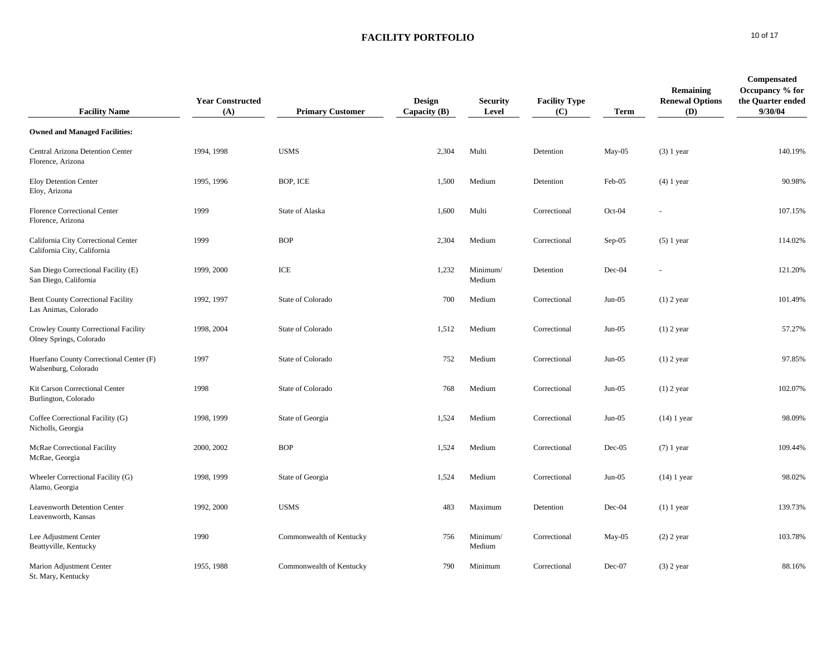| <b>Facility Name</b>                                               | <b>Year Constructed</b><br>(A) | <b>Primary Customer</b>  | <b>Design</b><br>Capacity $(B)$ | <b>Security</b><br>Level | <b>Facility Type</b><br>(C) | <b>Term</b> | Remaining<br><b>Renewal Options</b><br>(D) | <b>Compensated</b><br>Occupancy % for<br>the Quarter ended<br>9/30/04 |
|--------------------------------------------------------------------|--------------------------------|--------------------------|---------------------------------|--------------------------|-----------------------------|-------------|--------------------------------------------|-----------------------------------------------------------------------|
| <b>Owned and Managed Facilities:</b>                               |                                |                          |                                 |                          |                             |             |                                            |                                                                       |
| Central Arizona Detention Center<br>Florence, Arizona              | 1994, 1998                     | <b>USMS</b>              | 2,304                           | Multi                    | Detention                   | $May-05$    | $(3)$ 1 year                               | 140.19%                                                               |
| Eloy Detention Center<br>Eloy, Arizona                             | 1995, 1996                     | BOP, ICE                 | 1,500                           | Medium                   | Detention                   | Feb-05      | $(4)$ 1 year                               | 90.98%                                                                |
| <b>Florence Correctional Center</b><br>Florence, Arizona           | 1999                           | State of Alaska          | 1,600                           | Multi                    | Correctional                | Oct-04      |                                            | 107.15%                                                               |
| California City Correctional Center<br>California City, California | 1999                           | <b>BOP</b>               | 2,304                           | Medium                   | Correctional                | Sep-05      | $(5)$ 1 year                               | 114.02%                                                               |
| San Diego Correctional Facility (E)<br>San Diego, California       | 1999, 2000                     | ICE                      | 1,232                           | Minimum/<br>Medium       | Detention                   | Dec-04      | $\blacksquare$                             | 121.20%                                                               |
| <b>Bent County Correctional Facility</b><br>Las Animas, Colorado   | 1992, 1997                     | State of Colorado        | 700                             | Medium                   | Correctional                | $Jun-05$    | $(1)$ 2 year                               | 101.49%                                                               |
| Crowley County Correctional Facility<br>Olney Springs, Colorado    | 1998, 2004                     | State of Colorado        | 1,512                           | Medium                   | Correctional                | $Jun-05$    | $(1)$ 2 year                               | 57.27%                                                                |
| Huerfano County Correctional Center (F)<br>Walsenburg, Colorado    | 1997                           | State of Colorado        | 752                             | Medium                   | Correctional                | $Jun-05$    | $(1)$ 2 year                               | 97.85%                                                                |
| Kit Carson Correctional Center<br>Burlington, Colorado             | 1998                           | State of Colorado        | 768                             | Medium                   | Correctional                | $Jun-05$    | $(1)$ 2 year                               | 102.07%                                                               |
| Coffee Correctional Facility (G)<br>Nicholls, Georgia              | 1998, 1999                     | State of Georgia         | 1,524                           | Medium                   | Correctional                | $Jun-05$    | $(14)$ 1 year                              | 98.09%                                                                |
| McRae Correctional Facility<br>McRae, Georgia                      | 2000, 2002                     | <b>BOP</b>               | 1,524                           | Medium                   | Correctional                | $Dec-05$    | $(7)$ 1 year                               | 109.44%                                                               |
| Wheeler Correctional Facility (G)<br>Alamo, Georgia                | 1998, 1999                     | State of Georgia         | 1,524                           | Medium                   | Correctional                | $Jun-05$    | $(14)$ 1 year                              | 98.02%                                                                |
| <b>Leavenworth Detention Center</b><br>Leavenworth, Kansas         | 1992, 2000                     | <b>USMS</b>              | 483                             | Maximum                  | Detention                   | Dec-04      | $(1)$ 1 year                               | 139.73%                                                               |
| Lee Adjustment Center<br>Beattyville, Kentucky                     | 1990                           | Commonwealth of Kentucky | 756                             | Minimum/<br>Medium       | Correctional                | May-05      | $(2)$ 2 year                               | 103.78%                                                               |
| Marion Adjustment Center<br>St. Mary, Kentucky                     | 1955, 1988                     | Commonwealth of Kentucky | 790                             | Minimum                  | Correctional                | Dec-07      | $(3)$ 2 year                               | 88.16%                                                                |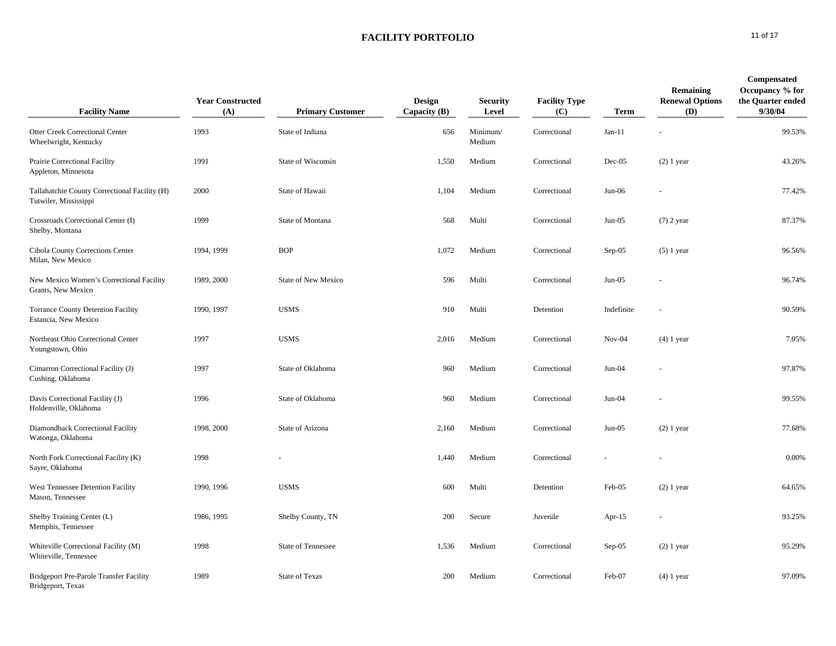| <b>Facility Name</b>                                                   | <b>Year Constructed</b><br>(A) | <b>Primary Customer</b>    | Design<br>Capacity $(B)$ | <b>Security</b><br>Level | <b>Facility Type</b><br>(C) | <b>Term</b> | Remaining<br><b>Renewal Options</b><br>(D) | Compensated<br>Occupancy % for<br>the Quarter ended<br>9/30/04 |
|------------------------------------------------------------------------|--------------------------------|----------------------------|--------------------------|--------------------------|-----------------------------|-------------|--------------------------------------------|----------------------------------------------------------------|
| <b>Otter Creek Correctional Center</b><br>Wheelwright, Kentucky        | 1993                           | State of Indiana           | 656                      | Minimum/<br>Medium       | Correctional                | $Jan-11$    |                                            | 99.53%                                                         |
| Prairie Correctional Facility<br>Appleton, Minnesota                   | 1991                           | State of Wisconsin         | 1,550                    | Medium                   | Correctional                | $Dec-05$    | $(2)$ 1 year                               | 43.26%                                                         |
| Tallahatchie County Correctional Facility (H)<br>Tutwiler, Mississippi | 2000                           | State of Hawaii            | 1,104                    | Medium                   | Correctional                | $Jun-06$    | L,                                         | 77.42%                                                         |
| Crossroads Correctional Center (I)<br>Shelby, Montana                  | 1999                           | State of Montana           | 568                      | Multi                    | Correctional                | $Jun-05$    | $(7)$ 2 year                               | 87.37%                                                         |
| Cibola County Corrections Center<br>Milan, New Mexico                  | 1994, 1999                     | <b>BOP</b>                 | 1,072                    | Medium                   | Correctional                | Sep-05      | $(5)$ 1 year                               | 96.56%                                                         |
| New Mexico Women's Correctional Facility<br>Grants, New Mexico         | 1989, 2000                     | <b>State of New Mexico</b> | 596                      | Multi                    | Correctional                | $Jun-05$    |                                            | 96.74%                                                         |
| Torrance County Detention Facility<br>Estancia, New Mexico             | 1990, 1997                     | <b>USMS</b>                | 910                      | Multi                    | Detention                   | Indefinite  |                                            | 90.59%                                                         |
| Northeast Ohio Correctional Center<br>Youngstown, Ohio                 | 1997                           | <b>USMS</b>                | 2,016                    | Medium                   | Correctional                | $Nov-04$    | $(4)$ 1 year                               | 7.05%                                                          |
| Cimarron Correctional Facility (J)<br>Cushing, Oklahoma                | 1997                           | State of Oklahoma          | 960                      | Medium                   | Correctional                | Jun-04      |                                            | 97.87%                                                         |
| Davis Correctional Facility (J)<br>Holdenville, Oklahoma               | 1996                           | State of Oklahoma          | 960                      | Medium                   | Correctional                | Jun-04      | $\sim$                                     | 99.55%                                                         |
| Diamondback Correctional Facility<br>Watonga, Oklahoma                 | 1998, 2000                     | State of Arizona           | 2,160                    | Medium                   | Correctional                | $Jun-05$    | $(2)$ 1 year                               | 77.68%                                                         |
| North Fork Correctional Facility (K)<br>Sayre, Oklahoma                | 1998                           |                            | 1,440                    | Medium                   | Correctional                |             |                                            | 0.00%                                                          |
| West Tennessee Detention Facility<br>Mason, Tennessee                  | 1990, 1996                     | <b>USMS</b>                | 600                      | Multi                    | Detention                   | Feb-05      | $(2)$ 1 year                               | 64.65%                                                         |
| Shelby Training Center (L)<br>Memphis, Tennessee                       | 1986, 1995                     | Shelby County, TN          | 200                      | Secure                   | Juvenile                    | Apr- $15$   | ÷,                                         | 93.25%                                                         |
| Whiteville Correctional Facility (M)<br>Whiteville, Tennessee          | 1998                           | State of Tennessee         | 1,536                    | Medium                   | Correctional                | Sep-05      | $(2)$ 1 year                               | 95.29%                                                         |
| <b>Bridgeport Pre-Parole Transfer Facility</b><br>Bridgeport, Texas    | 1989                           | <b>State of Texas</b>      | 200                      | Medium                   | Correctional                | Feb-07      | $(4)$ 1 year                               | 97.09%                                                         |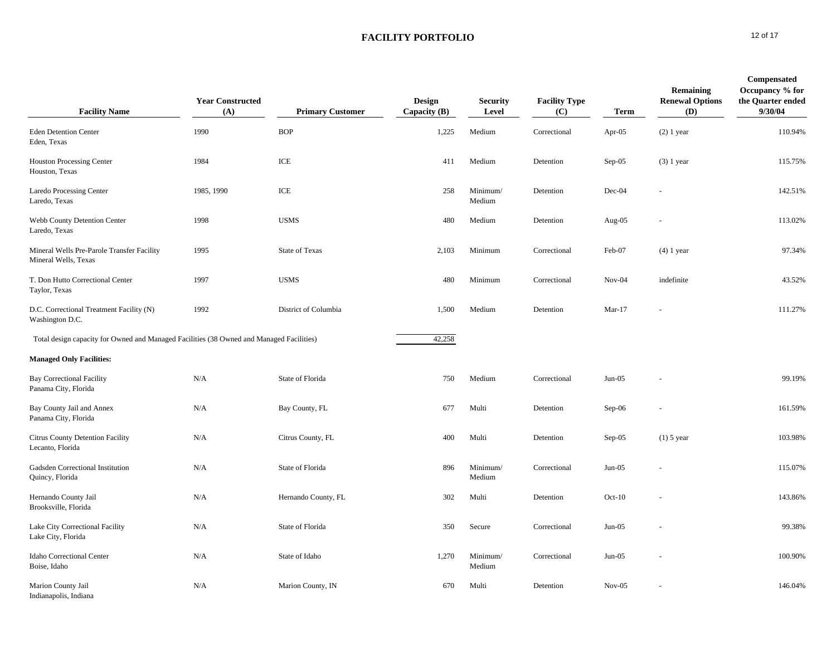| <b>Facility Name</b>                                                                     | <b>Year Constructed</b><br>(A) | <b>Primary Customer</b> | Design<br>Capacity $(B)$ | <b>Security</b><br>Level | <b>Facility Type</b><br>(C) | <b>Term</b> | Remaining<br><b>Renewal Options</b><br>(D) | Compensated<br>Occupancy % for<br>the Quarter ended<br>9/30/04 |
|------------------------------------------------------------------------------------------|--------------------------------|-------------------------|--------------------------|--------------------------|-----------------------------|-------------|--------------------------------------------|----------------------------------------------------------------|
| <b>Eden Detention Center</b><br>Eden, Texas                                              | 1990                           | <b>BOP</b>              | 1,225                    | Medium                   | Correctional                | Apr-05      | $(2)$ 1 year                               | 110.94%                                                        |
| <b>Houston Processing Center</b><br>Houston, Texas                                       | 1984                           | $\rm ICE$               | 411                      | Medium                   | Detention                   | Sep-05      | $(3)$ 1 year                               | 115.75%                                                        |
| Laredo Processing Center<br>Laredo, Texas                                                | 1985, 1990                     | ICE                     | 258                      | Minimum/<br>Medium       | Detention                   | Dec-04      |                                            | 142.51%                                                        |
| Webb County Detention Center<br>Laredo, Texas                                            | 1998                           | <b>USMS</b>             | 480                      | Medium                   | Detention                   | Aug-05      | $\blacksquare$                             | 113.02%                                                        |
| Mineral Wells Pre-Parole Transfer Facility<br>Mineral Wells, Texas                       | 1995                           | State of Texas          | 2,103                    | Minimum                  | Correctional                | Feb-07      | $(4)$ 1 year                               | 97.34%                                                         |
| T. Don Hutto Correctional Center<br>Taylor, Texas                                        | 1997                           | <b>USMS</b>             | 480                      | Minimum                  | Correctional                | $Nov-04$    | indefinite                                 | 43.52%                                                         |
| D.C. Correctional Treatment Facility (N)<br>Washington D.C.                              | 1992                           | District of Columbia    | 1,500                    | Medium                   | Detention                   | $Mar-17$    |                                            | 111.27%                                                        |
| Total design capacity for Owned and Managed Facilities (38 Owned and Managed Facilities) |                                |                         | 42,258                   |                          |                             |             |                                            |                                                                |
| <b>Managed Only Facilities:</b>                                                          |                                |                         |                          |                          |                             |             |                                            |                                                                |
| <b>Bay Correctional Facility</b><br>Panama City, Florida                                 | N/A                            | State of Florida        | 750                      | Medium                   | Correctional                | $Jun-05$    |                                            | 99.19%                                                         |
| Bay County Jail and Annex<br>Panama City, Florida                                        | N/A                            | Bay County, FL          | 677                      | Multi                    | Detention                   | Sep-06      |                                            | 161.59%                                                        |
| Citrus County Detention Facility<br>Lecanto, Florida                                     | N/A                            | Citrus County, FL       | 400                      | Multi                    | Detention                   | $Sep-05$    | $(1)$ 5 year                               | 103.98%                                                        |
| Gadsden Correctional Institution<br>Quincy, Florida                                      | N/A                            | State of Florida        | 896                      | Minimum/<br>Medium       | Correctional                | $Jun-05$    |                                            | 115.07%                                                        |
| Hernando County Jail<br>Brooksville, Florida                                             | N/A                            | Hernando County, FL     | 302                      | Multi                    | Detention                   | $Oct-10$    |                                            | 143.86%                                                        |
| Lake City Correctional Facility<br>Lake City, Florida                                    | N/A                            | State of Florida        | 350                      | Secure                   | Correctional                | $Jun-05$    |                                            | 99.38%                                                         |
| Idaho Correctional Center<br>Boise, Idaho                                                | N/A                            | State of Idaho          | 1,270                    | Minimum/<br>Medium       | Correctional                | $Jun-05$    |                                            | 100.90%                                                        |
| Marion County Jail<br>Indianapolis, Indiana                                              | N/A                            | Marion County, IN       | 670                      | Multi                    | Detention                   | $Nov-05$    |                                            | 146.04%                                                        |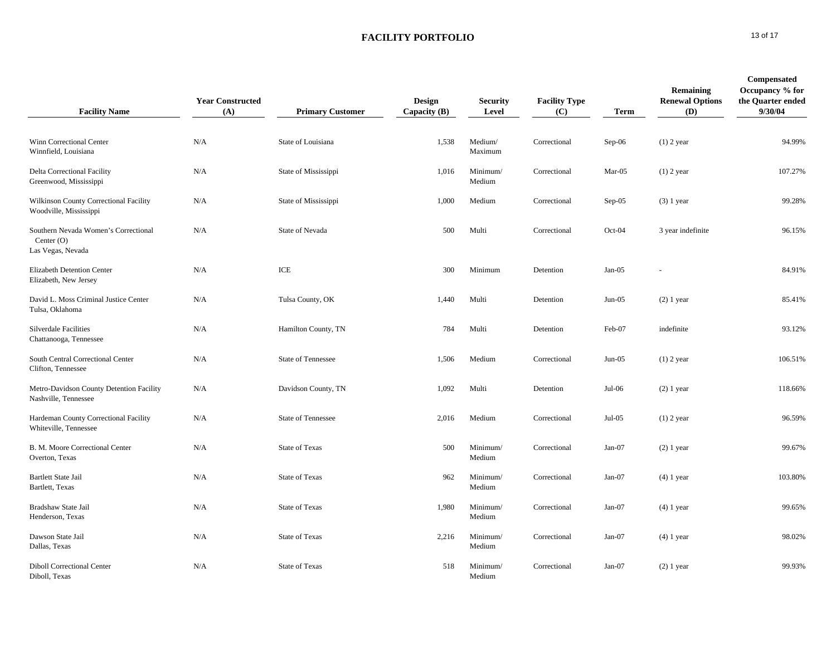| <b>Facility Name</b>                                                      | <b>Year Constructed</b><br>(A) | <b>Primary Customer</b>   | Design<br>Capacity $(B)$ | <b>Security</b><br>Level | <b>Facility Type</b><br>(C) | <b>Term</b> | Remaining<br><b>Renewal Options</b><br>(D) | Compensated<br>Occupancy % for<br>the Quarter ended<br>9/30/04 |
|---------------------------------------------------------------------------|--------------------------------|---------------------------|--------------------------|--------------------------|-----------------------------|-------------|--------------------------------------------|----------------------------------------------------------------|
| Winn Correctional Center<br>Winnfield, Louisiana                          | N/A                            | State of Louisiana        | 1,538                    | Medium/<br>Maximum       | Correctional                | Sep-06      | $(1)$ 2 year                               | 94.99%                                                         |
| Delta Correctional Facility<br>Greenwood, Mississippi                     | N/A                            | State of Mississippi      | 1,016                    | Minimum/<br>Medium       | Correctional                | Mar-05      | $(1)$ 2 year                               | 107.27%                                                        |
| Wilkinson County Correctional Facility<br>Woodville, Mississippi          | N/A                            | State of Mississippi      | 1,000                    | Medium                   | Correctional                | $Sep-05$    | $(3)$ 1 year                               | 99.28%                                                         |
| Southern Nevada Women's Correctional<br>Center $(O)$<br>Las Vegas, Nevada | N/A                            | State of Nevada           | 500                      | Multi                    | Correctional                | $Oct-04$    | 3 year indefinite                          | 96.15%                                                         |
| Elizabeth Detention Center<br>Elizabeth, New Jersey                       | N/A                            | ICE                       | 300                      | Minimum                  | Detention                   | $Jan-05$    |                                            | 84.91%                                                         |
| David L. Moss Criminal Justice Center<br>Tulsa, Oklahoma                  | N/A                            | Tulsa County, OK          | 1,440                    | Multi                    | Detention                   | $Jun-05$    | $(2)$ 1 year                               | 85.41%                                                         |
| Silverdale Facilities<br>Chattanooga, Tennessee                           | N/A                            | Hamilton County, TN       | 784                      | Multi                    | Detention                   | Feb-07      | indefinite                                 | 93.12%                                                         |
| South Central Correctional Center<br>Clifton, Tennessee                   | N/A                            | <b>State of Tennessee</b> | 1,506                    | Medium                   | Correctional                | $Jun-05$    | $(1)$ 2 year                               | 106.51%                                                        |
| Metro-Davidson County Detention Facility<br>Nashville, Tennessee          | N/A                            | Davidson County, TN       | 1,092                    | Multi                    | Detention                   | $Jul-06$    | $(2)$ 1 year                               | 118.66%                                                        |
| Hardeman County Correctional Facility<br>Whiteville, Tennessee            | N/A                            | <b>State of Tennessee</b> | 2,016                    | Medium                   | Correctional                | $Jul-05$    | $(1)$ 2 year                               | 96.59%                                                         |
| B. M. Moore Correctional Center<br>Overton, Texas                         | N/A                            | <b>State of Texas</b>     | 500                      | Minimum/<br>Medium       | Correctional                | Jan-07      | $(2)$ 1 year                               | 99.67%                                                         |
| <b>Bartlett State Jail</b><br>Bartlett, Texas                             | N/A                            | <b>State of Texas</b>     | 962                      | Minimum/<br>Medium       | Correctional                | Jan-07      | $(4)$ 1 year                               | 103.80%                                                        |
| Bradshaw State Jail<br>Henderson, Texas                                   | N/A                            | <b>State of Texas</b>     | 1,980                    | Minimum/<br>Medium       | Correctional                | $Jan-07$    | $(4)$ 1 year                               | 99.65%                                                         |
| Dawson State Jail<br>Dallas, Texas                                        | N/A                            | <b>State of Texas</b>     | 2,216                    | Minimum/<br>Medium       | Correctional                | Jan-07      | $(4)$ 1 year                               | 98.02%                                                         |
| <b>Diboll Correctional Center</b><br>Diboll, Texas                        | N/A                            | <b>State of Texas</b>     | 518                      | Minimum/<br>Medium       | Correctional                | Jan-07      | $(2)$ 1 year                               | 99.93%                                                         |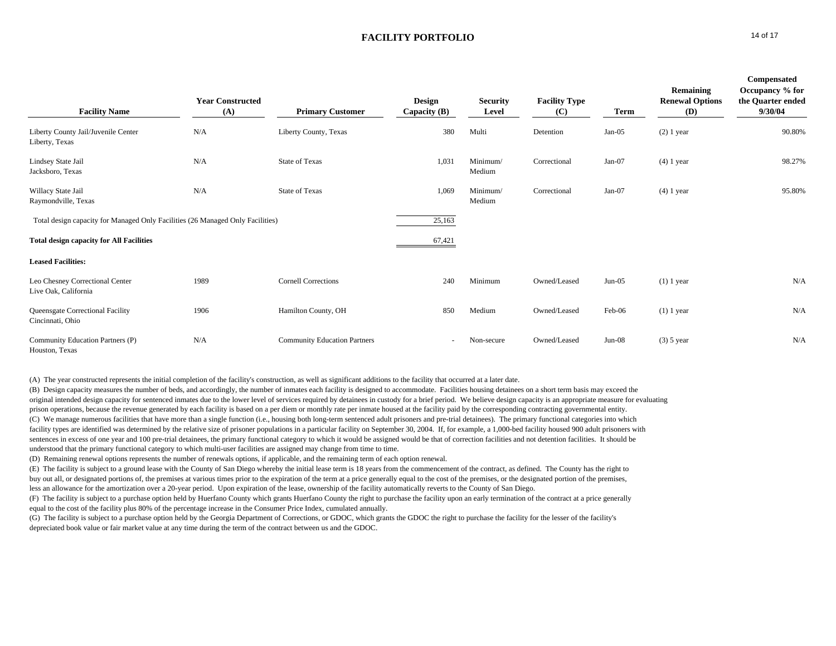| <b>Facility Name</b>                                                           | <b>Year Constructed</b><br>(A) | <b>Primary Customer</b>             | <b>Design</b><br>Capacity $(B)$ | <b>Security</b><br>Level | <b>Facility Type</b><br>(C) | <b>Term</b> | Remaining<br><b>Renewal Options</b><br>(D) | Compensated<br>Occupancy % for<br>the Quarter ended<br>9/30/04 |
|--------------------------------------------------------------------------------|--------------------------------|-------------------------------------|---------------------------------|--------------------------|-----------------------------|-------------|--------------------------------------------|----------------------------------------------------------------|
| Liberty County Jail/Juvenile Center<br>Liberty, Texas                          | N/A                            | Liberty County, Texas               | 380                             | Multi                    | Detention                   | $Jan-05$    | $(2)$ 1 year                               | 90.80%                                                         |
| Lindsey State Jail<br>Jacksboro, Texas                                         | N/A                            | <b>State of Texas</b>               | 1,031                           | Minimum/<br>Medium       | Correctional                | $Jan-07$    | $(4)$ 1 year                               | 98.27%                                                         |
| Willacy State Jail<br>Raymondville, Texas                                      | N/A                            | <b>State of Texas</b>               | 1,069                           | Minimum/<br>Medium       | Correctional                | Jan-07      | $(4)$ 1 year                               | 95.80%                                                         |
| Total design capacity for Managed Only Facilities (26 Managed Only Facilities) |                                |                                     | 25,163                          |                          |                             |             |                                            |                                                                |
| <b>Total design capacity for All Facilities</b>                                |                                |                                     | 67,421                          |                          |                             |             |                                            |                                                                |
| <b>Leased Facilities:</b>                                                      |                                |                                     |                                 |                          |                             |             |                                            |                                                                |
| Leo Chesney Correctional Center<br>Live Oak, California                        | 1989                           | <b>Cornell Corrections</b>          | 240                             | Minimum                  | Owned/Leased                | $Jun-05$    | $(1)$ 1 year                               | N/A                                                            |
| Queensgate Correctional Facility<br>Cincinnati, Ohio                           | 1906                           | Hamilton County, OH                 | 850                             | Medium                   | Owned/Leased                | Feb-06      | $(1)$ 1 year                               | N/A                                                            |
| Community Education Partners (P)<br>Houston, Texas                             | N/A                            | <b>Community Education Partners</b> | $\sim$                          | Non-secure               | Owned/Leased                | $Jun-08$    | $(3)$ 5 year                               | N/A                                                            |

(A) The year constructed represents the initial completion of the facility's construction, as well as significant additions to the facility that occurred at a later date.

(B) Design capacity measures the number of beds, and accordingly, the number of inmates each facility is designed to accommodate. Facilities housing detainees on a short term basis may exceed the original intended design capacity for sentenced inmates due to the lower level of services required by detainees in custody for a brief period. We believe design capacity is an appropriate measure for evaluating prison operations, because the revenue generated by each facility is based on a per diem or monthly rate per inmate housed at the facility paid by the corresponding contracting governmental entity. (C) We manage numerous facilities that have more than a single function (i.e., housing both long-term sentenced adult prisoners and pre-trial detainees). The primary functional categories into which facility types are identified was determined by the relative size of prisoner populations in a particular facility on September 30, 2004. If, for example, a 1,000-bed facility housed 900 adult prisoners with sentences in excess of one year and 100 pre-trial detainees, the primary functional category to which it would be assigned would be that of correction facilities and not detention facilities. It should be understood that the primary functional category to which multi-user facilities are assigned may change from time to time.

(D) Remaining renewal options represents the number of renewals options, if applicable, and the remaining term of each option renewal.

(E) The facility is subject to a ground lease with the County of San Diego whereby the initial lease term is 18 years from the commencement of the contract, as defined. The County has the right to buy out all, or designated portions of, the premises at various times prior to the expiration of the term at a price generally equal to the cost of the premises, or the designated portion of the premises, less an allowance for the amortization over a 20-year period. Upon expiration of the lease, ownership of the facility automatically reverts to the County of San Diego.

(F) The facility is subject to a purchase option held by Huerfano County which grants Huerfano County the right to purchase the facility upon an early termination of the contract at a price generally equal to the cost of the facility plus 80% of the percentage increase in the Consumer Price Index, cumulated annually.

(G) The facility is subject to a purchase option held by the Georgia Department of Corrections, or GDOC, which grants the GDOC the right to purchase the facility for the lesser of the facility's depreciated book value or fair market value at any time during the term of the contract between us and the GDOC.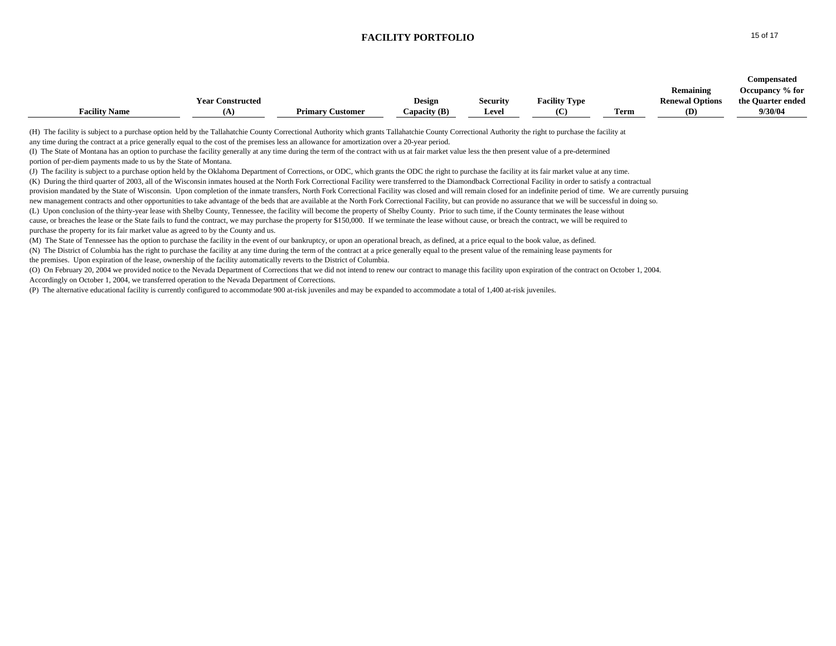|                                                                                                                                                                                                                                                                                                                                                                                                                                                                                                                                                                                                                                                                                                                                                                                                                                                                                                                                                                                                                                                                                                                                                                                                                                                                                                                                                                                                                                                                                                                                                                                                                                                                                                                                                                                                                                                                                                                                                                                                                                                                                                                                                                                                                                                                                                                                                                                                                          | <b>Year Constructed</b> |                         | Design         | <b>Security</b> | <b>Facility Type</b> |             | Remaining<br><b>Renewal Options</b> | <b>Compensated</b><br>Occupancy % for<br>the Quarter ended |
|--------------------------------------------------------------------------------------------------------------------------------------------------------------------------------------------------------------------------------------------------------------------------------------------------------------------------------------------------------------------------------------------------------------------------------------------------------------------------------------------------------------------------------------------------------------------------------------------------------------------------------------------------------------------------------------------------------------------------------------------------------------------------------------------------------------------------------------------------------------------------------------------------------------------------------------------------------------------------------------------------------------------------------------------------------------------------------------------------------------------------------------------------------------------------------------------------------------------------------------------------------------------------------------------------------------------------------------------------------------------------------------------------------------------------------------------------------------------------------------------------------------------------------------------------------------------------------------------------------------------------------------------------------------------------------------------------------------------------------------------------------------------------------------------------------------------------------------------------------------------------------------------------------------------------------------------------------------------------------------------------------------------------------------------------------------------------------------------------------------------------------------------------------------------------------------------------------------------------------------------------------------------------------------------------------------------------------------------------------------------------------------------------------------------------|-------------------------|-------------------------|----------------|-----------------|----------------------|-------------|-------------------------------------|------------------------------------------------------------|
| <b>Facility Name</b>                                                                                                                                                                                                                                                                                                                                                                                                                                                                                                                                                                                                                                                                                                                                                                                                                                                                                                                                                                                                                                                                                                                                                                                                                                                                                                                                                                                                                                                                                                                                                                                                                                                                                                                                                                                                                                                                                                                                                                                                                                                                                                                                                                                                                                                                                                                                                                                                     | (A)                     | <b>Primary Customer</b> | Capacity $(B)$ | Level           | (C)                  | <b>Term</b> | (D)                                 | 9/30/04                                                    |
| (H) The facility is subject to a purchase option held by the Tallahatchie County Correctional Authority which grants Tallahatchie County Correctional Authority the right to purchase the facility at<br>any time during the contract at a price generally equal to the cost of the premises less an allowance for amortization over a 20-year period.<br>(I) The State of Montana has an option to purchase the facility generally at any time during the term of the contract with us at fair market value less the then present value of a pre-determined<br>portion of per-diem payments made to us by the State of Montana.<br>(J) The facility is subject to a purchase option held by the Oklahoma Department of Corrections, or ODC, which grants the ODC the right to purchase the facility at its fair market value at any time.<br>(K) During the third quarter of 2003, all of the Wisconsin inmates housed at the North Fork Correctional Facility were transferred to the Diamondback Correctional Facility in order to satisfy a contractual<br>provision mandated by the State of Wisconsin. Upon completion of the inmate transfers, North Fork Correctional Facility was closed and will remain closed for an indefinite period of time. We are currently pursuing<br>new management contracts and other opportunities to take advantage of the beds that are available at the North Fork Correctional Facility, but can provide no assurance that we will be successful in doing so.<br>(L) Upon conclusion of the thirty-year lease with Shelby County, Tennessee, the facility will become the property of Shelby County. Prior to such time, if the County terminates the lease without<br>cause, or breaches the lease or the State fails to fund the contract, we may purchase the property for \$150,000. If we terminate the lease without cause, or breach the contract, we will be required to<br>purchase the property for its fair market value as agreed to by the County and us.<br>(M) The State of Tennessee has the option to purchase the facility in the event of our bankruptcy, or upon an operational breach, as defined, at a price equal to the book value, as defined.<br>(N) The District of Columbia has the right to purchase the facility at any time during the term of the contract at a price generally equal to the present value of the remaining lease payments for |                         |                         |                |                 |                      |             |                                     |                                                            |
| the premises. Upon expiration of the lease, ownership of the facility automatically reverts to the District of Columbia.<br>(O) On February 20, 2004 we provided notice to the Nevada Department of Corrections that we did not intend to renew our contract to manage this facility upon expiration of the contract on October 1, 2004.                                                                                                                                                                                                                                                                                                                                                                                                                                                                                                                                                                                                                                                                                                                                                                                                                                                                                                                                                                                                                                                                                                                                                                                                                                                                                                                                                                                                                                                                                                                                                                                                                                                                                                                                                                                                                                                                                                                                                                                                                                                                                 |                         |                         |                |                 |                      |             |                                     |                                                            |
| Accordingly on October 1, 2004, we transferred operation to the Nevada Department of Corrections.                                                                                                                                                                                                                                                                                                                                                                                                                                                                                                                                                                                                                                                                                                                                                                                                                                                                                                                                                                                                                                                                                                                                                                                                                                                                                                                                                                                                                                                                                                                                                                                                                                                                                                                                                                                                                                                                                                                                                                                                                                                                                                                                                                                                                                                                                                                        |                         |                         |                |                 |                      |             |                                     |                                                            |
| (P) The alternative educational facility is currently configured to accommodate 900 at-risk juveniles and may be expanded to accommodate a total of 1,400 at-risk juveniles.                                                                                                                                                                                                                                                                                                                                                                                                                                                                                                                                                                                                                                                                                                                                                                                                                                                                                                                                                                                                                                                                                                                                                                                                                                                                                                                                                                                                                                                                                                                                                                                                                                                                                                                                                                                                                                                                                                                                                                                                                                                                                                                                                                                                                                             |                         |                         |                |                 |                      |             |                                     |                                                            |

 $0$  and  $15$  of 17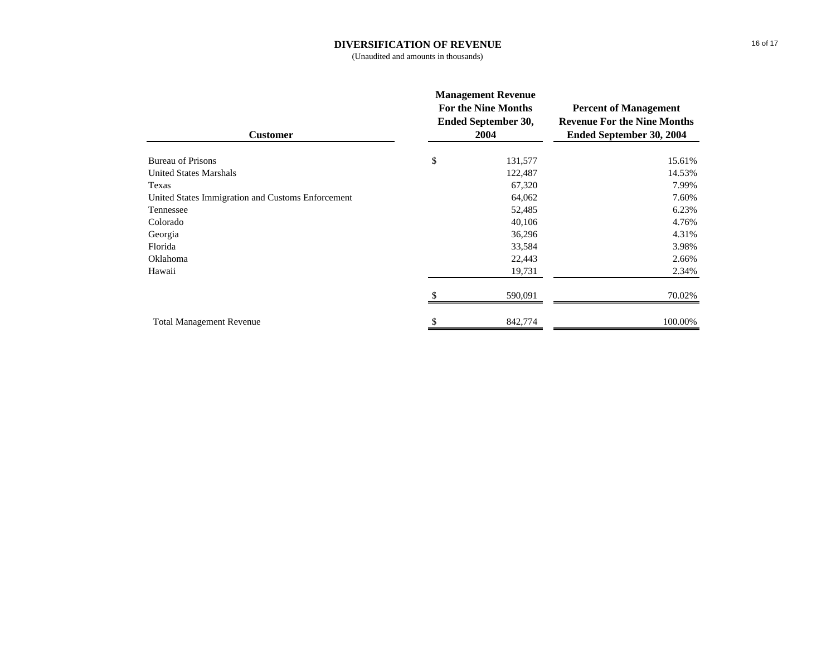#### **DIVERSIFICATION OF REVENUE**

(Unaudited and amounts in thousands)

| <b>Customer</b>                                   | <b>Management Revenue</b><br><b>For the Nine Months</b><br><b>Ended September 30,</b><br>2004 | <b>Percent of Management</b><br><b>Revenue For the Nine Months</b><br>Ended September 30, 2004 |  |
|---------------------------------------------------|-----------------------------------------------------------------------------------------------|------------------------------------------------------------------------------------------------|--|
| <b>Bureau of Prisons</b>                          | \$<br>131,577                                                                                 | 15.61%                                                                                         |  |
| <b>United States Marshals</b>                     | 122,487                                                                                       | 14.53%                                                                                         |  |
| Texas                                             | 67,320                                                                                        | 7.99%                                                                                          |  |
| United States Immigration and Customs Enforcement | 64,062                                                                                        | 7.60%                                                                                          |  |
| Tennessee                                         | 52,485                                                                                        | 6.23%                                                                                          |  |
| Colorado                                          | 40,106                                                                                        | 4.76%                                                                                          |  |
| Georgia                                           | 36,296                                                                                        | 4.31%                                                                                          |  |
| Florida                                           | 33,584                                                                                        | 3.98%                                                                                          |  |
| Oklahoma                                          | 22,443                                                                                        | 2.66%                                                                                          |  |
| Hawaii                                            | 19,731                                                                                        | 2.34%                                                                                          |  |
|                                                   | 590,091                                                                                       | 70.02%                                                                                         |  |
| <b>Total Management Revenue</b>                   | 842,774                                                                                       | 100.00%                                                                                        |  |